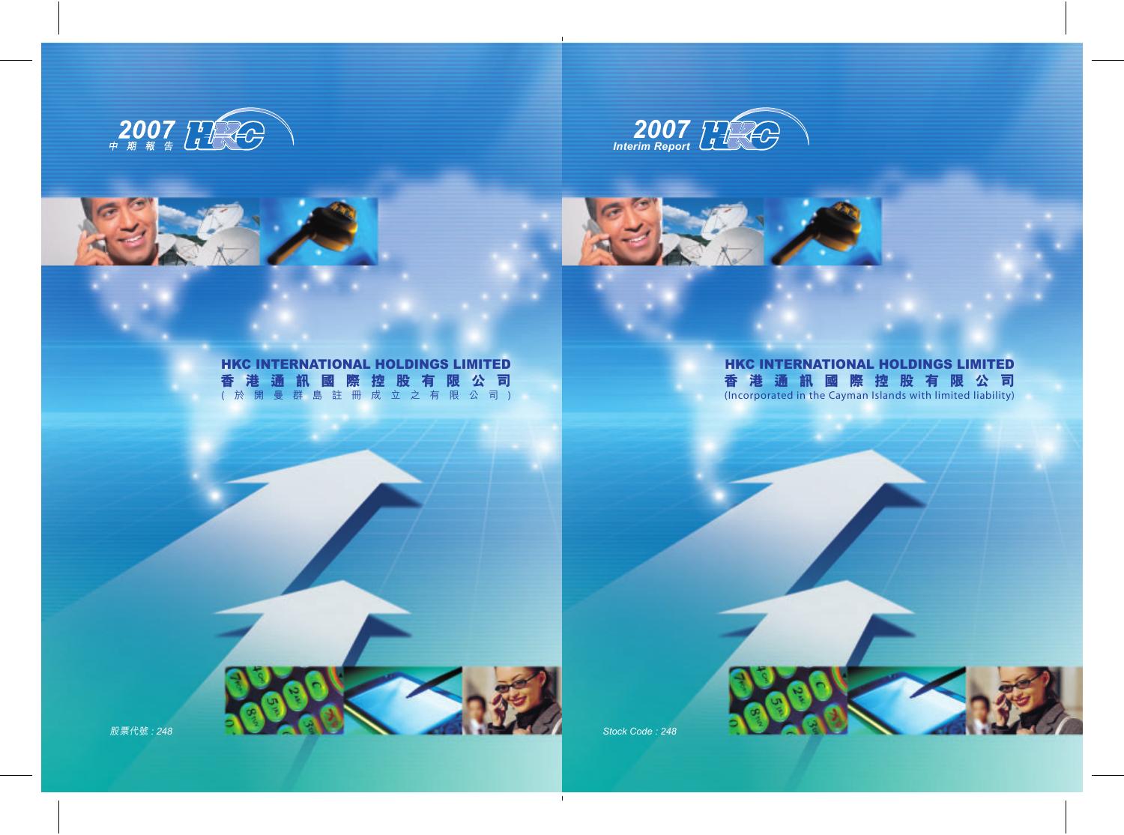



# HKC INTERNATIONAL HOLDINGS LIMITED 香港通訊國際控股有限公司 (Incorporated in the Cayman Islands with limited liability)

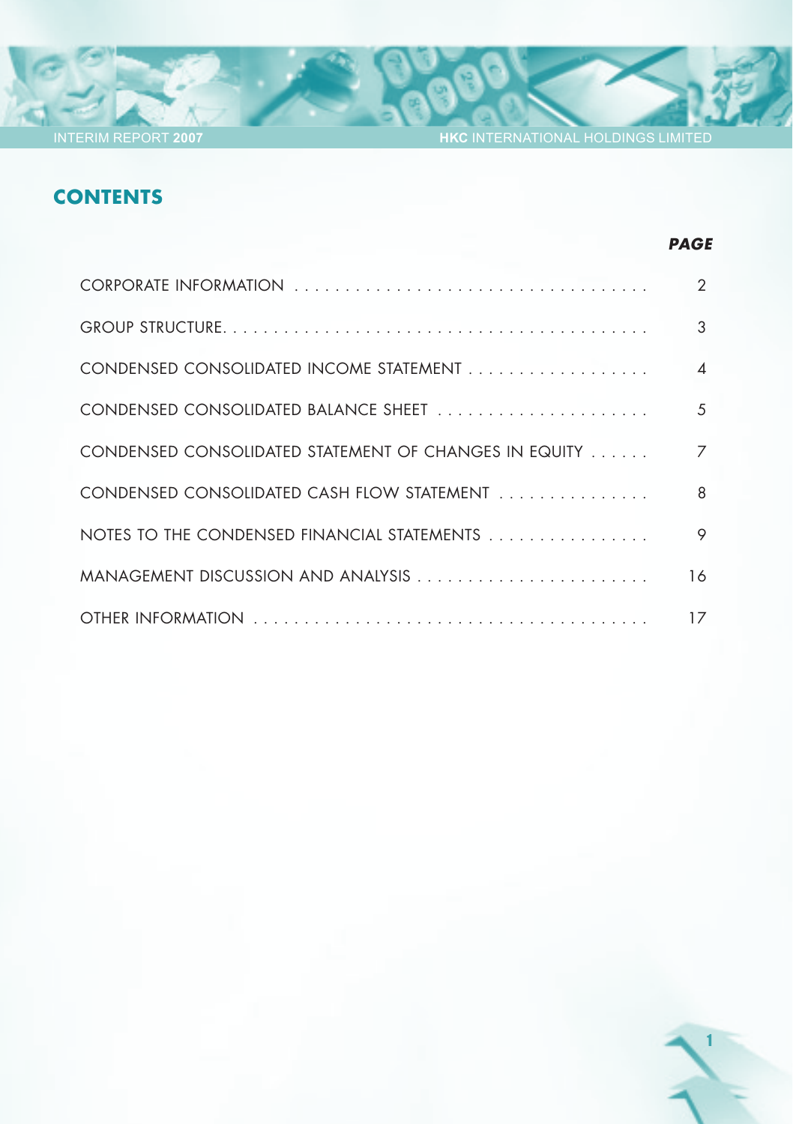**HKC** INTERNATIONAL HOLDINGS LIMITED

*PAGE*

1

# **CONTENTS**

|                                                       | $\mathcal{P}$ |
|-------------------------------------------------------|---------------|
|                                                       | 3             |
|                                                       |               |
|                                                       | .5            |
| CONDENSED CONSOLIDATED STATEMENT OF CHANGES IN EQUITY |               |
| CONDENSED CONSOLIDATED CASH FLOW STATEMENT            | 8             |
|                                                       | 9             |
| MANAGEMENT DISCUSSION AND ANALYSIS                    | 16            |
|                                                       | 17            |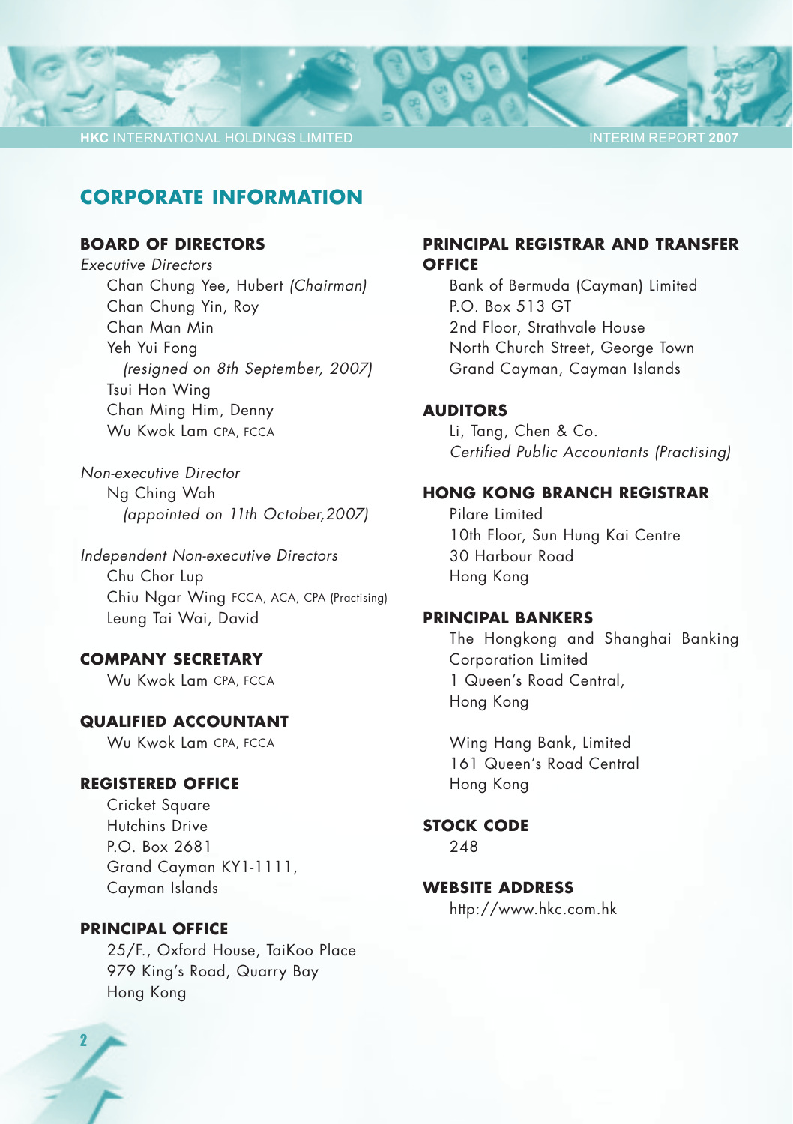### **CORPORATE INFORMATION**

### **BOARD OF DIRECTORS**

*Executive Directors* Chan Chung Yee, Hubert *(Chairman)* Chan Chung Yin, Roy Chan Man Min Yeh Yui Fong *(resigned on 8th September, 2007)* Tsui Hon Wing Chan Ming Him, Denny Wu Kwok Lam CPA, FCCA

*Non-executive Director* Ng Ching Wah *(appointed on 11th October,2007)*

*Independent Non-executive Directors* Chu Chor Lup Chiu Ngar Wing FCCA, ACA, CPA (Practising) Leung Tai Wai, David

#### **COMPANY SECRETARY**

Wu Kwok Lam CPA, FCCA

### **QUALIFIED ACCOUNTANT**

Wu Kwok Lam CPA, FCCA

### **REGISTERED OFFICE**

Cricket Square Hutchins Drive P.O. Box 2681 Grand Cayman KY1-1111, Cayman Islands

#### **PRINCIPAL OFFICE**

25/F., Oxford House, TaiKoo Place 979 King's Road, Quarry Bay Hong Kong

### **PRINCIPAL REGISTRAR AND TRANSFER OFFICE**

Bank of Bermuda (Cayman) Limited P.O. Box 513 GT 2nd Floor, Strathvale House North Church Street, George Town Grand Cayman, Cayman Islands

#### **AUDITORS**

Li, Tang, Chen & Co. *Certified Public Accountants (Practising)*

#### **HONG KONG BRANCH REGISTRAR**

Pilare Limited 10th Floor, Sun Hung Kai Centre 30 Harbour Road Hong Kong

#### **PRINCIPAL BANKERS**

The Hongkong and Shanghai Banking Corporation Limited 1 Queen's Road Central, Hong Kong

Wing Hang Bank, Limited 161 Queen's Road Central Hong Kong

**STOCK CODE**

248

### **WEBSITE ADDRESS**

http://www.hkc.com.hk

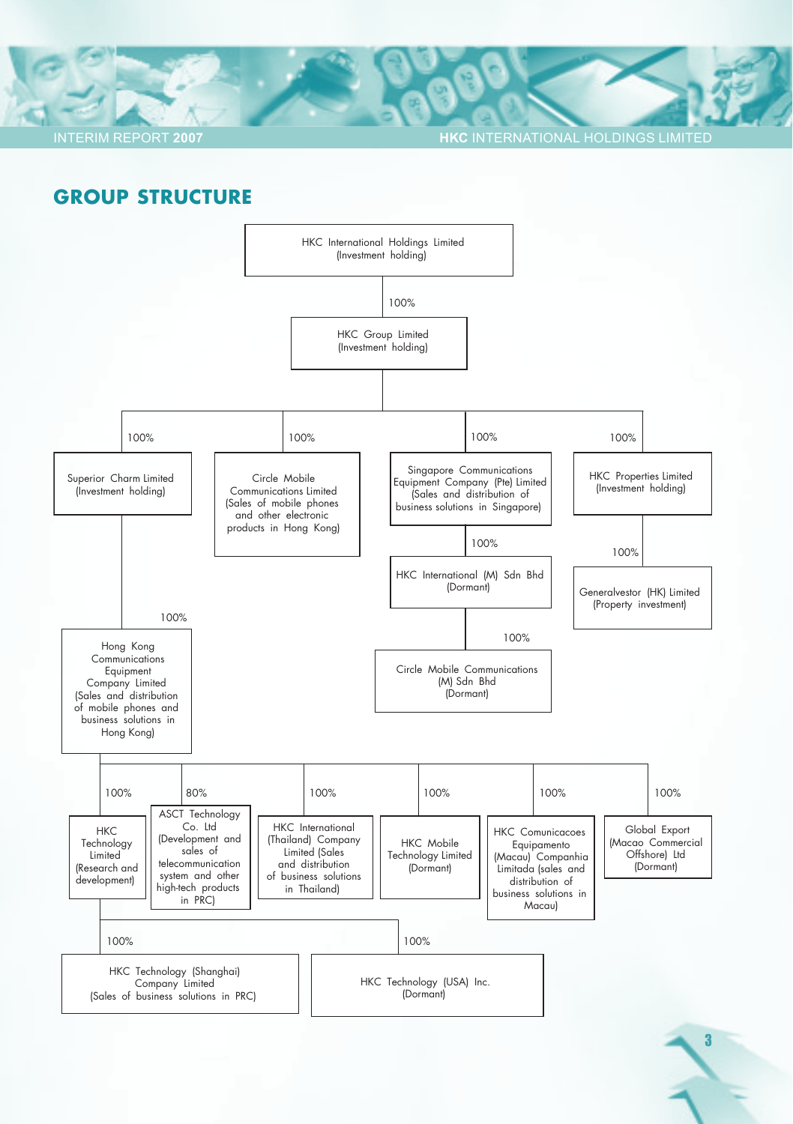**HKC INTERNATIONAL HOLDINGS LIMITED** 

### **GROUP STRUCTURE**

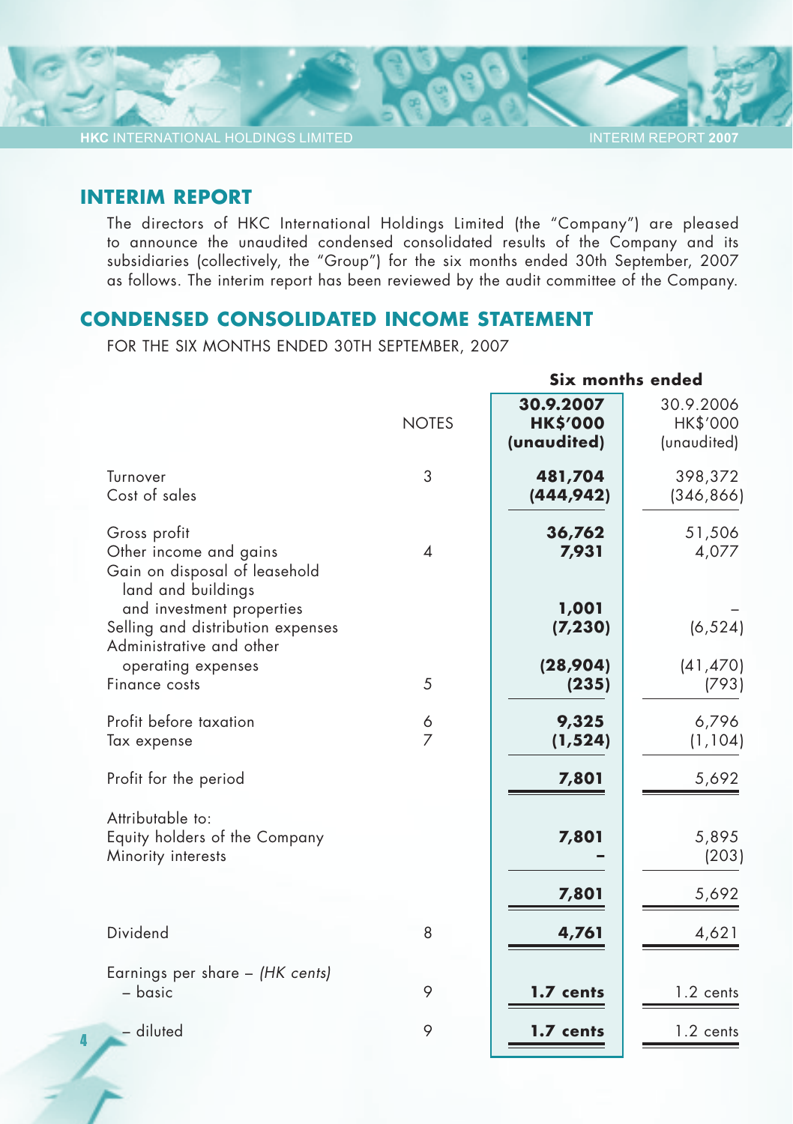INTERIM REPORT **2007**

### **INTERIM REPORT**

4

The directors of HKC International Holdings Limited (the "Company") are pleased to announce the unaudited condensed consolidated results of the Company and its subsidiaries (collectively, the "Group") for the six months ended 30th September, 2007 as follows. The interim report has been reviewed by the audit committee of the Company.

### **CONDENSED CONSOLIDATED INCOME STATEMENT**

FOR THE SIX MONTHS ENDED 30TH SEPTEMBER, 2007

|                                                                                               |                          |                                             | Six months ended                     |
|-----------------------------------------------------------------------------------------------|--------------------------|---------------------------------------------|--------------------------------------|
|                                                                                               | <b>NOTES</b>             | 30.9.2007<br><b>HK\$'000</b><br>(unaudited) | 30.9.2006<br>HK\$'000<br>(unaudited) |
| Turnover<br>Cost of sales                                                                     | 3                        | 481,704<br>(444, 942)                       | 398,372<br>(346, 866)                |
| Gross profit<br>Other income and gains<br>Gain on disposal of leasehold<br>land and buildings | $\overline{\mathcal{A}}$ | 36,762<br>7,931                             | 51,506<br>4,077                      |
| and investment properties<br>Selling and distribution expenses<br>Administrative and other    |                          | 1,001<br>(7, 230)                           | (6, 524)                             |
| operating expenses<br>Finance costs                                                           | 5                        | (28,904)<br>(235)                           | (41, 470)<br>(793)                   |
| Profit before taxation<br>Tax expense                                                         | 6<br>$\overline{7}$      | 9,325<br>(1, 524)                           | 6,796<br>(1, 104)                    |
| Profit for the period                                                                         |                          | 7,801                                       | 5,692                                |
| Attributable to:<br>Equity holders of the Company<br>Minority interests                       |                          | 7,801                                       | 5,895<br>(203)                       |
|                                                                                               |                          | 7,801                                       | 5,692                                |
| Dividend                                                                                      | 8                        | 4,761                                       | 4,621                                |
| Earnings per share - (HK cents)<br>- basic                                                    | 9                        | 1.7 cents                                   | 1.2 cents                            |
| - diluted                                                                                     | 9                        | 1.7 cents                                   | 1.2 cents                            |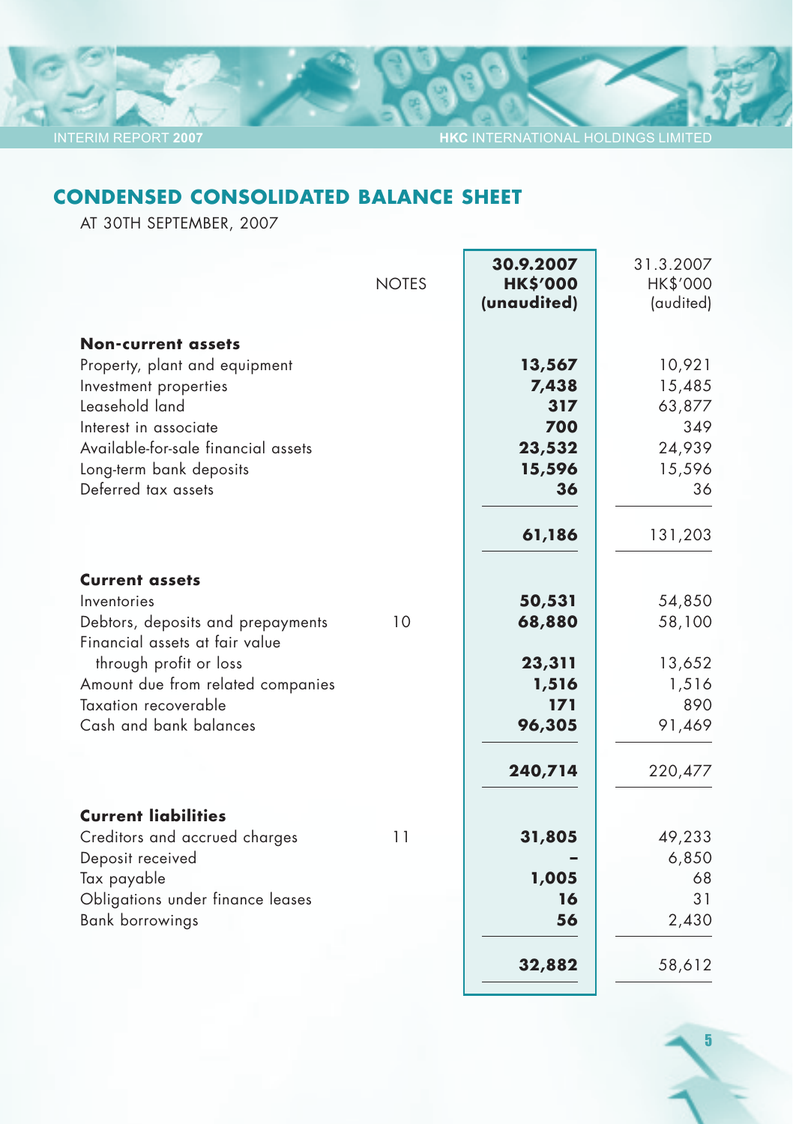5

# **CONDENSED CONSOLIDATED BALANCE SHEET**

AT 30TH SEPTEMBER, 2007

| <b>NOTES</b>                            | 30.9.2007<br><b>HK\$'000</b><br>(unaudited) | 31.3.2007<br>HK\$'000<br>(audited) |
|-----------------------------------------|---------------------------------------------|------------------------------------|
| <b>Non-current assets</b>               |                                             |                                    |
| Property, plant and equipment           | 13,567                                      | 10,921                             |
| Investment properties                   | 7,438                                       | 15,485                             |
| Leasehold land                          | 317                                         | 63,877                             |
| Interest in associate                   | 700                                         | 349                                |
| Available-for-sale financial assets     | 23,532                                      | 24,939                             |
| Long-term bank deposits                 | 15,596                                      | 15,596                             |
| Deferred tax assets                     | 36                                          | 36                                 |
|                                         | 61,186                                      | 131,203                            |
| <b>Current assets</b>                   |                                             |                                    |
| Inventories                             | 50,531                                      | 54,850                             |
| 10<br>Debtors, deposits and prepayments | 68,880                                      | 58,100                             |
| Financial assets at fair value          |                                             |                                    |
| through profit or loss                  | 23,311                                      | 13,652                             |
| Amount due from related companies       | 1,516                                       | 1,516                              |
| Taxation recoverable                    | 171                                         | 890                                |
| Cash and bank balances                  | 96,305                                      | 91,469                             |
|                                         | 240,714                                     | 220,477                            |
| <b>Current liabilities</b>              |                                             |                                    |
| Creditors and accrued charges<br>11     | 31,805                                      | 49,233                             |
| Deposit received                        |                                             | 6,850                              |
| Tax payable                             | 1,005                                       | 68                                 |
| Obligations under finance leases        | 16                                          | 31                                 |
| <b>Bank borrowings</b>                  | 56                                          | 2,430                              |
|                                         | 32,882                                      | 58,612                             |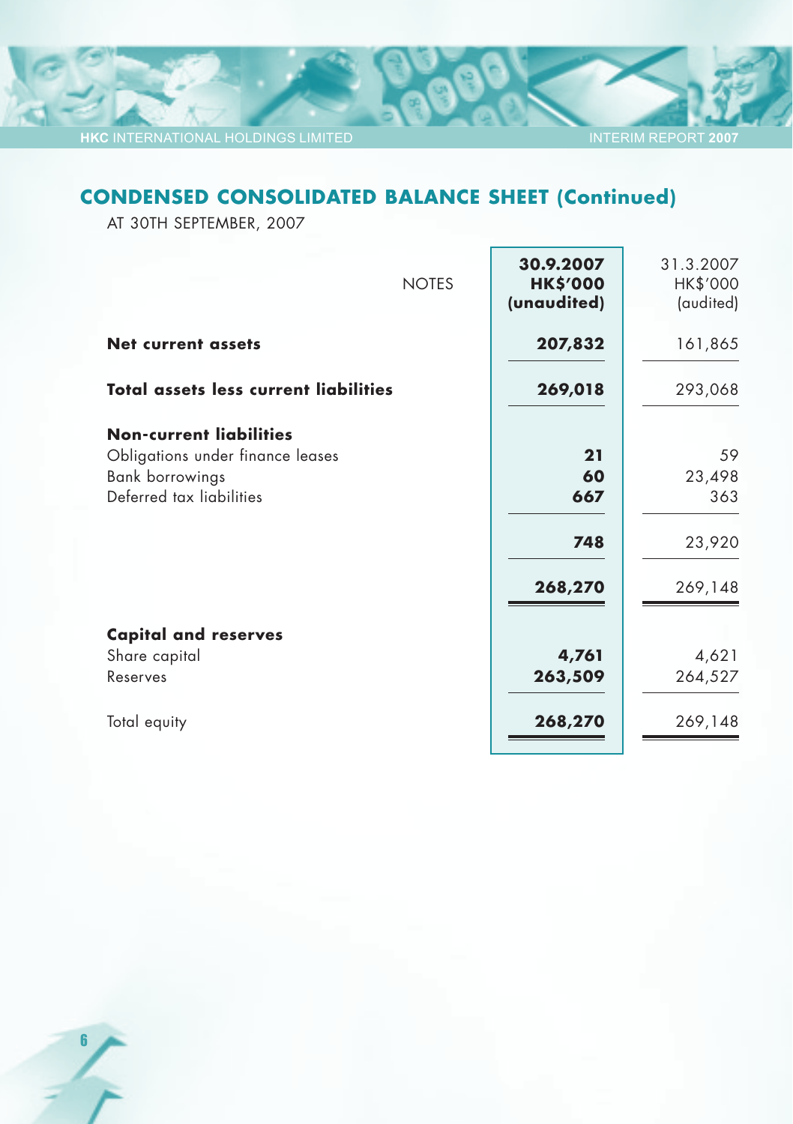# **CONDENSED CONSOLIDATED BALANCE SHEET (Continued)**

INTERIM REPORT **2007**

AT 30TH SEPTEMBER, 2007

| 30.9.2007<br><b>HK\$'000</b><br>(unaudited) | 31.3.2007<br>HK\$'000<br>(audited)       |
|---------------------------------------------|------------------------------------------|
| 207,832                                     | 161,865                                  |
| 269,018                                     | 293,068                                  |
| 21<br>60<br>667<br>748<br>268,270           | 59<br>23,498<br>363<br>23,920<br>269,148 |
| 4,761<br>263,509                            | 4,621<br>264,527<br>269,148              |
|                                             | 268,270                                  |

6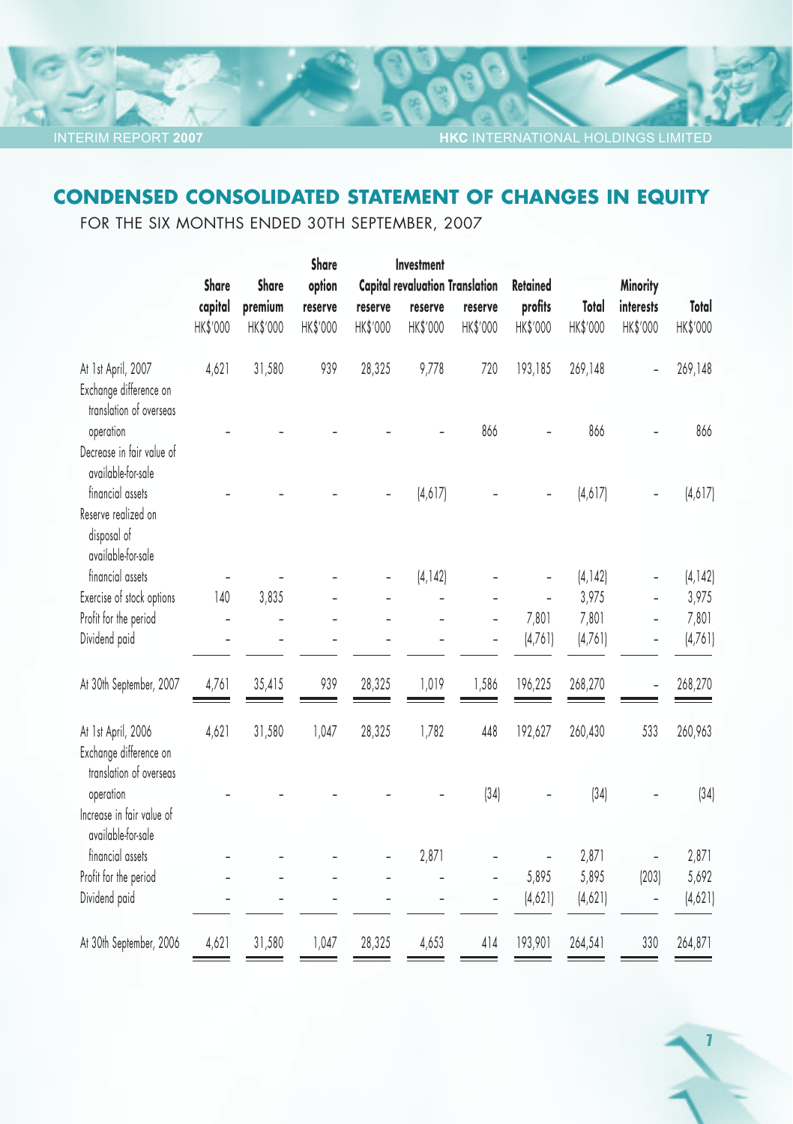7

# **CONDENSED CONSOLIDATED STATEMENT OF CHANGES IN EQUITY**

FOR THE SIX MONTHS ENDED 30TH SEPTEMBER, 2007

|                                                                              |                     |                     | Share               |                     | Investment          |                                        |                     |                   |                       |                   |
|------------------------------------------------------------------------------|---------------------|---------------------|---------------------|---------------------|---------------------|----------------------------------------|---------------------|-------------------|-----------------------|-------------------|
|                                                                              | Share               | Share               | option              |                     |                     | <b>Capital revaluation Translation</b> | Retained            |                   | <b>Minority</b>       |                   |
|                                                                              | capital<br>HK\$'000 | premium<br>HK\$'000 | reserve<br>HK\$'000 | reserve<br>HK\$'000 | reserve<br>HK\$'000 | reserve<br>HK\$'000                    | profits<br>HK\$'000 | Total<br>HK\$'000 | interests<br>HK\$'000 | Total<br>HK\$'000 |
| At 1st April, 2007<br>Exchange difference on<br>translation of overseas      | 4,621               | 31,580              | 939                 | 28,325              | 9,778               | 720                                    | 193,185             | 269,148           |                       | 269,148           |
| operation<br>Decrease in fair value of<br>available-for-sale                 |                     |                     |                     |                     |                     | 866                                    |                     | 866               |                       | 866               |
| financial assets<br>Reserve realized on<br>disposal of<br>available-for-sale |                     |                     |                     |                     | (4,617)             |                                        |                     | (4,617)           |                       | (4,617)           |
| financial assets                                                             |                     |                     |                     |                     | [4, 142]            |                                        |                     | (4, 142)          |                       | (4, 142)          |
| Exercise of stock options                                                    | 140                 | 3,835               |                     |                     |                     |                                        |                     | 3,975             |                       | 3,975             |
| Profit for the period                                                        | ÷,                  | -                   |                     |                     |                     | $\overline{\phantom{0}}$               | 7,801               | 7,801             | $\overline{a}$        | 7,801             |
| Dividend paid                                                                |                     |                     |                     |                     |                     |                                        | [4,76]              | (4,761)           |                       | (4,761)           |
| At 30th September, 2007                                                      | 4,761               | 35,415              | 939                 | 28,325              | 1,019               | 1,586                                  | 196,225             | 268,270           |                       | 268,270           |
| At 1st April, 2006<br>Exchange difference on<br>translation of overseas      | 4,621               | 31,580              | 1,047               | 28,325              | 1,782               | 448                                    | 192,627             | 260,430           | 533                   | 260,963           |
| operation<br>Increase in fair value of<br>available-for-sale                 |                     |                     |                     |                     |                     | (34)                                   |                     | (34)              |                       | (34)              |
| financial assets                                                             |                     |                     |                     |                     | 2,871               |                                        |                     | 2,871             |                       | 2,871             |
| Profit for the period                                                        |                     |                     |                     |                     |                     |                                        | 5,895               | 5,895             | (203)                 | 5,692             |
| Dividend paid                                                                |                     |                     |                     |                     |                     |                                        | (4,621)             | (4,621)           |                       | (4,621)           |
| At 30th September, 2006                                                      | 4,621               | 31,580              | 1,047               | 28,325              | 4,653               | 414                                    | 193,901             | 264,541           | 330                   | 264,871           |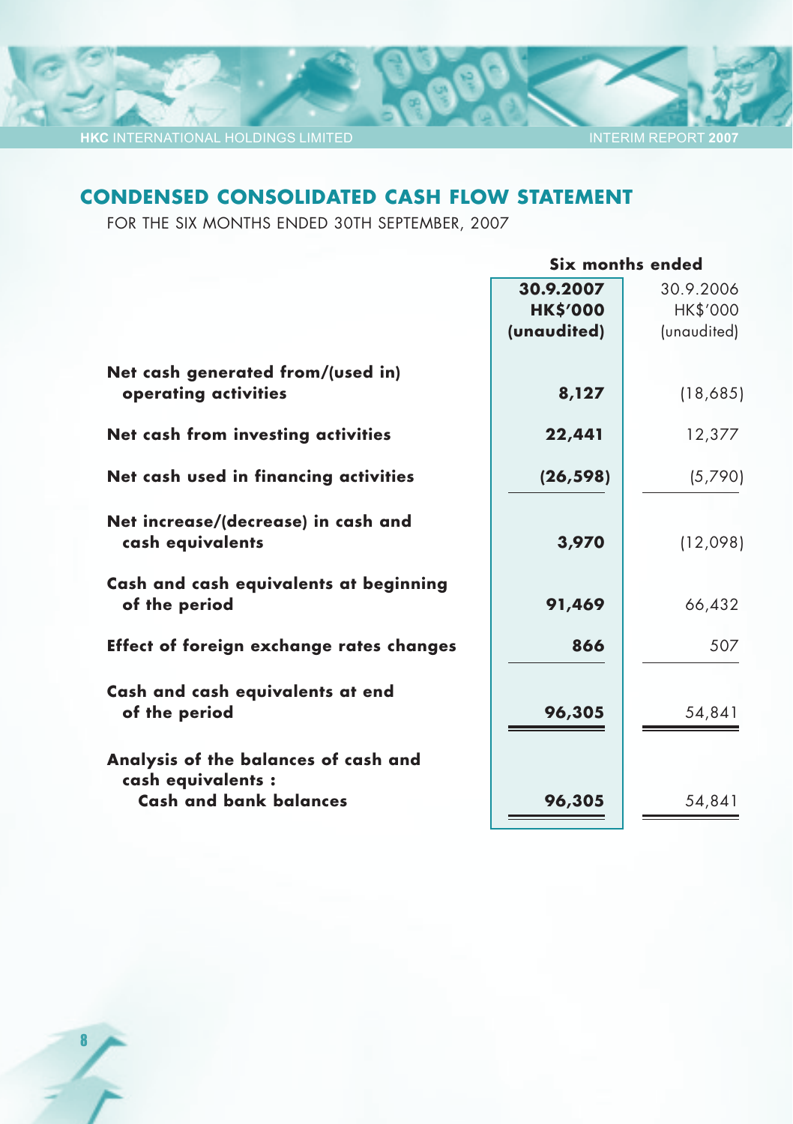8

#### INTERIM REPORT **2007**

# **CONDENSED CONSOLIDATED CASH FLOW STATEMENT**

FOR THE SIX MONTHS ENDED 30TH SEPTEMBER, 2007

| Six months ended |                          |  |
|------------------|--------------------------|--|
| 30.9.2007        | 30.9.2006                |  |
|                  | HK\$'000                 |  |
| (unaudited)      | (unaudited)              |  |
|                  |                          |  |
|                  | (18,685)                 |  |
| 22,441           | 12,377                   |  |
| (26, 598)        | (5,790)                  |  |
| 3,970            | (12,098)                 |  |
| 91,469           | 66,432                   |  |
| 866              | 507                      |  |
| 96,305           | 54,841                   |  |
|                  |                          |  |
| 96,305           | 54,841                   |  |
|                  | <b>HK\$'000</b><br>8,127 |  |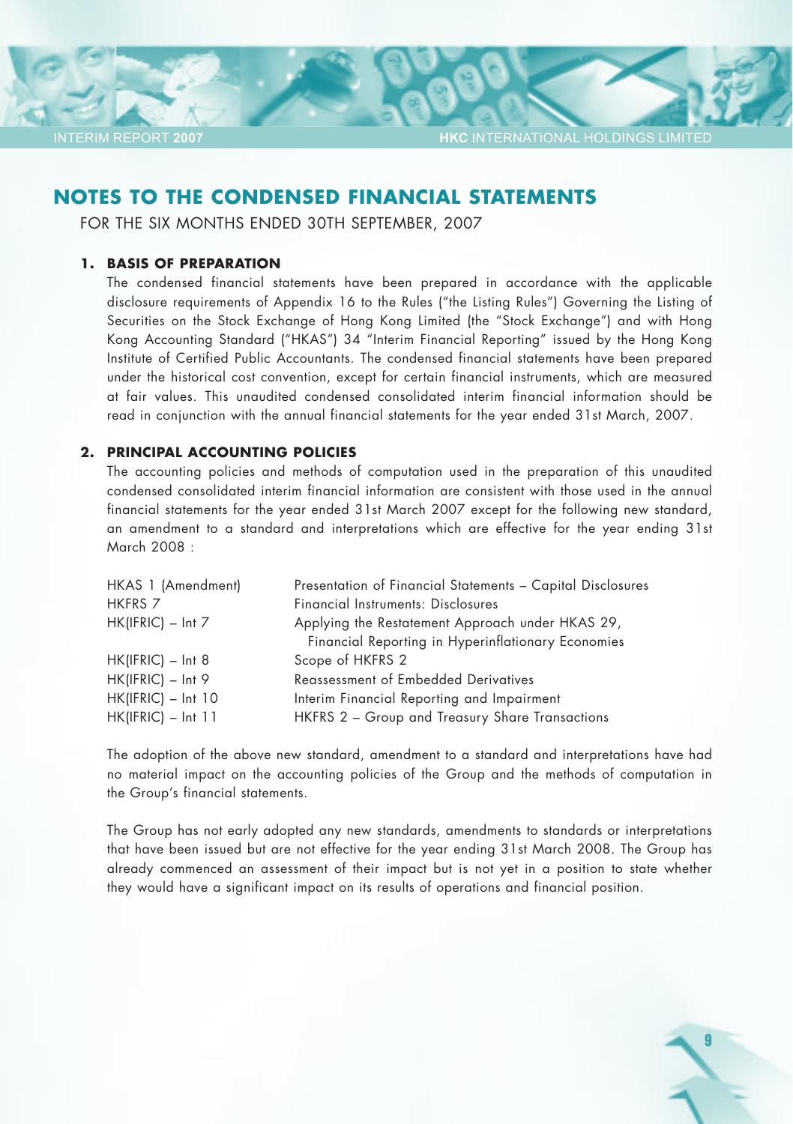9

### **NOTES TO THE CONDENSED FINANCIAL STATEMENTS**

FOR THE SIX MONTHS ENDED 30TH SEPTEMBER, 2007

#### **1. BASIS OF PREPARATION**

INTERIM REPORT **2007**

The condensed financial statements have been prepared in accordance with the applicable disclosure requirements of Appendix 16 to the Rules ("the Listing Rules") Governing the Listing of Securities on the Stock Exchange of Hong Kong Limited (the "Stock Exchange") and with Hong Kong Accounting Standard ("HKAS") 34 "Interim Financial Reporting" issued by the Hong Kong Institute of Certified Public Accountants. The condensed financial statements have been prepared under the historical cost convention, except for certain financial instruments, which are measured at fair values. This unaudited condensed consolidated interim financial information should be read in conjunction with the annual financial statements for the year ended 31st March, 2007.

#### **2. PRINCIPAL ACCOUNTING POLICIES**

The accounting policies and methods of computation used in the preparation of this unaudited condensed consolidated interim financial information are consistent with those used in the annual financial statements for the year ended 31st March 2007 except for the following new standard, an amendment to a standard and interpretations which are effective for the year ending 31st March 2008 :

| HKAS 1 (Amendment)   | Presentation of Financial Statements - Capital Disclosures |
|----------------------|------------------------------------------------------------|
| <b>HKFRS 7</b>       | Financial Instruments: Disclosures                         |
| $HK(IFRIC) - Int 7$  | Applying the Restatement Approach under HKAS 29,           |
|                      | Financial Reporting in Hyperinflationary Economies         |
| $HK(IFRIC) - Int 8$  | Scope of HKFRS 2                                           |
| $HK(IFRIC) - Int 9$  | <b>Reassessment of Embedded Derivatives</b>                |
| $HK(IFRIC) - Int 10$ | Interim Financial Reporting and Impairment                 |
| $HK(IFRIC) - Int 11$ | HKFRS 2 - Group and Treasury Share Transactions            |
|                      |                                                            |

The adoption of the above new standard, amendment to a standard and interpretations have had no material impact on the accounting policies of the Group and the methods of computation in the Group's financial statements.

The Group has not early adopted any new standards, amendments to standards or interpretations that have been issued but are not effective for the year ending 31st March 2008. The Group has already commenced an assessment of their impact but is not yet in a position to state whether they would have a significant impact on its results of operations and financial position.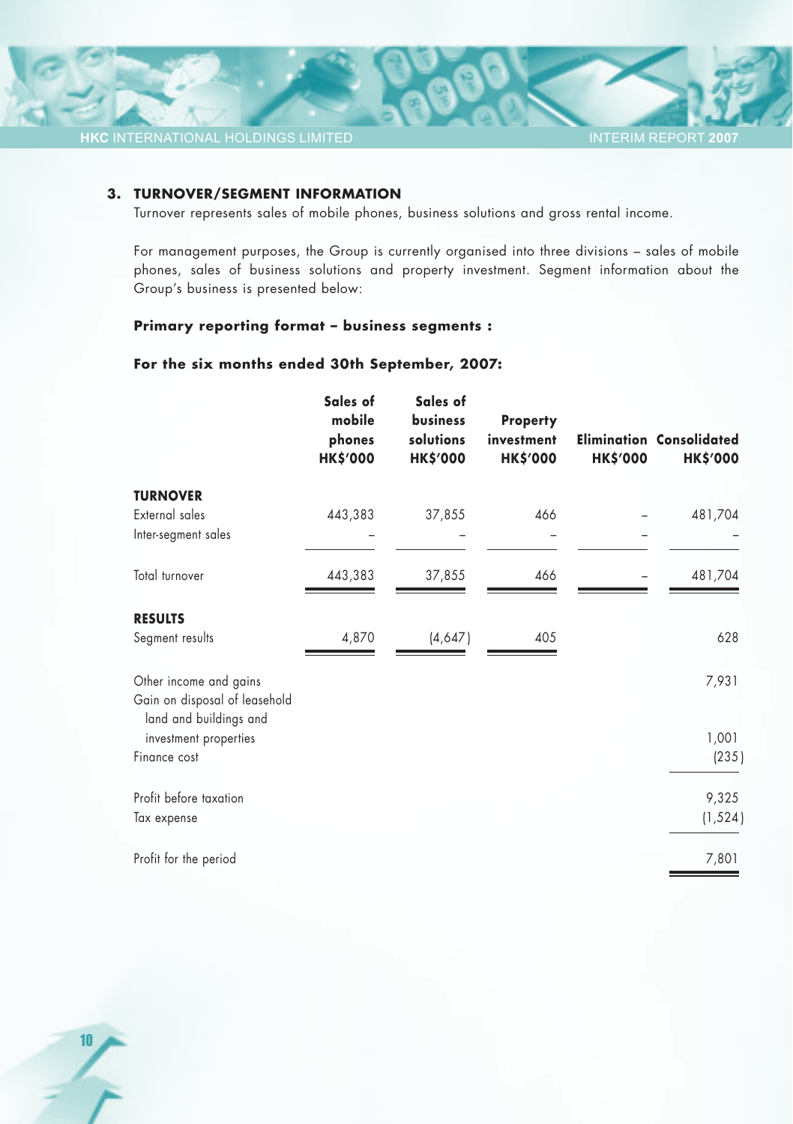

#### **3. TURNOVER/SEGMENT INFORMATION**

Turnover represents sales of mobile phones, business solutions and gross rental income.

For management purposes, the Group is currently organised into three divisions – sales of mobile phones, sales of business solutions and property investment. Segment information about the Group's business is presented below:

#### **Primary reporting format – business segments :**

#### **For the six months ended 30th September, 2007:**

|                                                         | Sales of<br>mobile<br>phones<br><b>HK\$'000</b> | Sales of<br>business<br>solutions<br><b>HK\$'000</b> | <b>Property</b><br>investment<br><b>HK\$'000</b> | <b>HK\$'000</b> | <b>Elimination Consolidated</b><br><b>HK\$'000</b> |
|---------------------------------------------------------|-------------------------------------------------|------------------------------------------------------|--------------------------------------------------|-----------------|----------------------------------------------------|
| <b>TURNOVER</b>                                         |                                                 |                                                      |                                                  |                 |                                                    |
| External sales                                          | 443,383                                         | 37,855                                               | 466                                              |                 | 481,704                                            |
| Inter-segment sales                                     |                                                 |                                                      |                                                  |                 |                                                    |
| Total turnover                                          | 443,383                                         | 37,855                                               | 466                                              |                 | 481,704                                            |
| <b>RESULTS</b>                                          |                                                 |                                                      |                                                  |                 |                                                    |
| Segment results                                         | 4,870                                           | (4,647)                                              | 405                                              |                 | 628                                                |
| Other income and gains                                  |                                                 |                                                      |                                                  |                 | 7,931                                              |
| Gain on disposal of leasehold<br>land and buildings and |                                                 |                                                      |                                                  |                 |                                                    |
| investment properties                                   |                                                 |                                                      |                                                  |                 | 1,001                                              |
| Finance cost                                            |                                                 |                                                      |                                                  |                 | (235)                                              |
| Profit before taxation                                  |                                                 |                                                      |                                                  |                 | 9,325                                              |
| Tax expense                                             |                                                 |                                                      |                                                  |                 | (1, 524)                                           |
| Profit for the period                                   |                                                 |                                                      |                                                  |                 | 7,801                                              |

10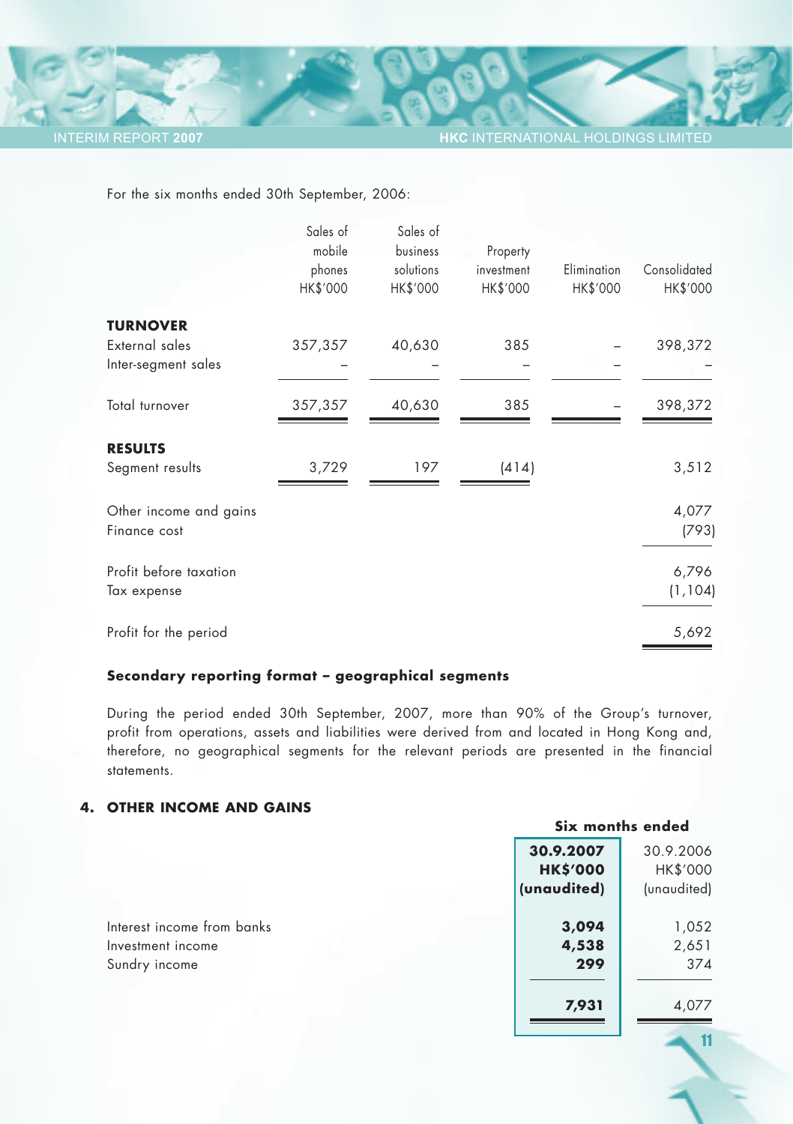11

For the six months ended 30th September, 2006:

|                        | Sales of<br>mobile<br>phones<br>HK\$'000 | Sales of<br>business<br>solutions<br>HK\$'000 | Property<br>investment<br>HK\$'000 | Elimination<br>HK\$'000 | Consolidated<br>HK\$'000 |
|------------------------|------------------------------------------|-----------------------------------------------|------------------------------------|-------------------------|--------------------------|
| <b>TURNOVER</b>        |                                          |                                               |                                    |                         |                          |
| External sales         | 357,357                                  | 40,630                                        | 385                                |                         | 398,372                  |
| Inter-segment sales    |                                          |                                               |                                    |                         |                          |
| Total turnover         | 357,357                                  | 40,630                                        | 385                                |                         | 398,372                  |
| <b>RESULTS</b>         |                                          |                                               |                                    |                         |                          |
| Segment results        | 3,729                                    | 197                                           | (414)                              |                         | 3,512                    |
| Other income and gains |                                          |                                               |                                    |                         | 4,077                    |
| Finance cost           |                                          |                                               |                                    |                         | (793)                    |
| Profit before taxation |                                          |                                               |                                    |                         | 6,796                    |
| Tax expense            |                                          |                                               |                                    |                         | (1, 104)                 |
| Profit for the period  |                                          |                                               |                                    |                         | 5,692                    |

#### **Secondary reporting format – geographical segments**

During the period ended 30th September, 2007, more than 90% of the Group's turnover, profit from operations, assets and liabilities were derived from and located in Hong Kong and, therefore, no geographical segments for the relevant periods are presented in the financial statements.

#### **4. OTHER INCOME AND GAINS**

|                            |                 | Six months ended |
|----------------------------|-----------------|------------------|
|                            | 30.9.2007       | 30.9.2006        |
|                            | <b>HK\$'000</b> | HK\$'000         |
|                            | (unaudited)     | (unaudited)      |
| Interest income from banks | 3,094           | 1,052            |
| Investment income          | 4,538           | 2,651            |
| Sundry income              | 299             | 374              |
|                            | 7,931           | 4,077            |
|                            |                 |                  |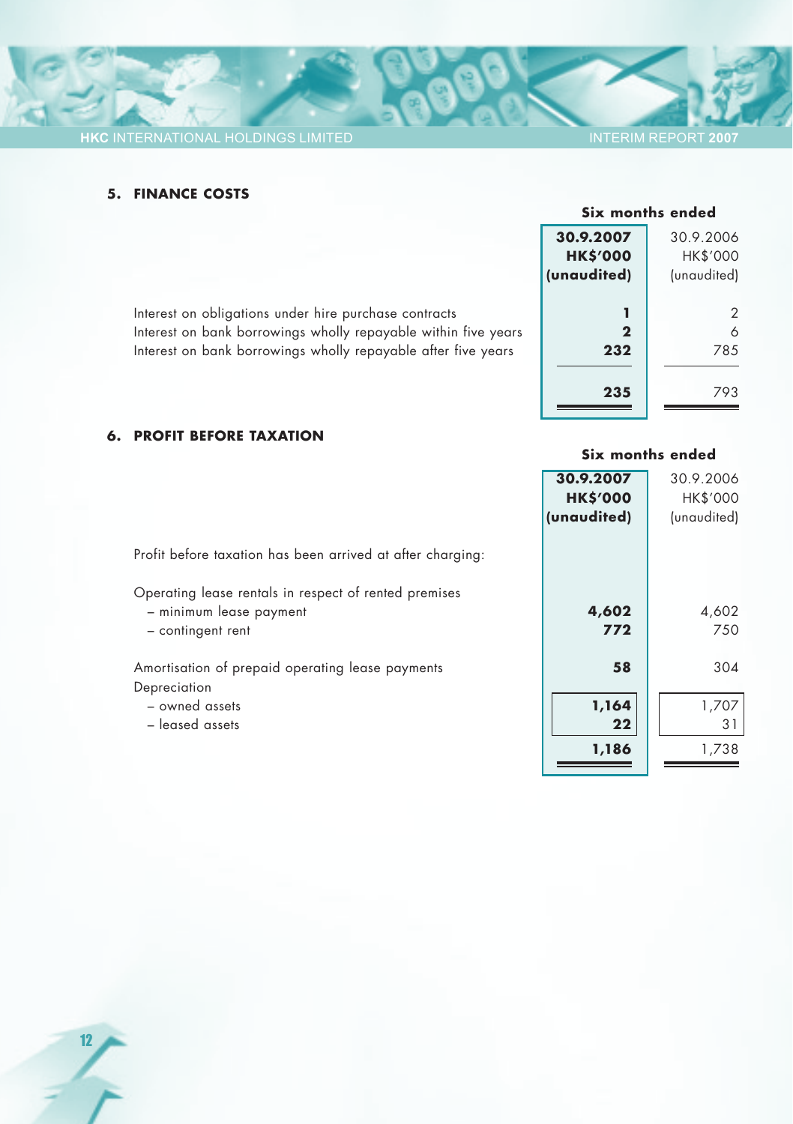### INTERIM REPORT **2007**

#### **5. FINANCE COSTS**

# **Six months ended 30.9.2007 30.9.2007 30.9.2006 HK\$'000** HK\$'000<br>**naudited)** (unaudited) **(unaudited)** (unaudited) Interest on obligations under hire purchase contracts **1 1** 2<br>Interest on bank borrowings wholly repayable within five years **2** 6 Interest on bank borrowings wholly repayable within five years **2 2** 6<br>Interest on bank borrowings wholly repayable after five years **232** 232 Interest on bank borrowings wholly repayable after five years **235** 793

#### **6. PROFIT BEFORE TAXATION**

|                                                                                                       | Six months ended                            |                                             |
|-------------------------------------------------------------------------------------------------------|---------------------------------------------|---------------------------------------------|
|                                                                                                       | 30.9.2007<br><b>HK\$'000</b><br>(unaudited) | 30.9.2006<br><b>HK\$'000</b><br>(unaudited) |
| Profit before taxation has been arrived at after charging:                                            |                                             |                                             |
| Operating lease rentals in respect of rented premises<br>- minimum lease payment<br>- contingent rent | 4,602<br>772                                | 4,602<br>750                                |
| Amortisation of prepaid operating lease payments<br>Depreciation                                      | 58                                          | 304                                         |
| - owned assets<br>- leased assets                                                                     | 1,164<br>22                                 | 1,707<br>31                                 |
|                                                                                                       | 1,186                                       | 1,738                                       |

- 
- 

- 
- 

12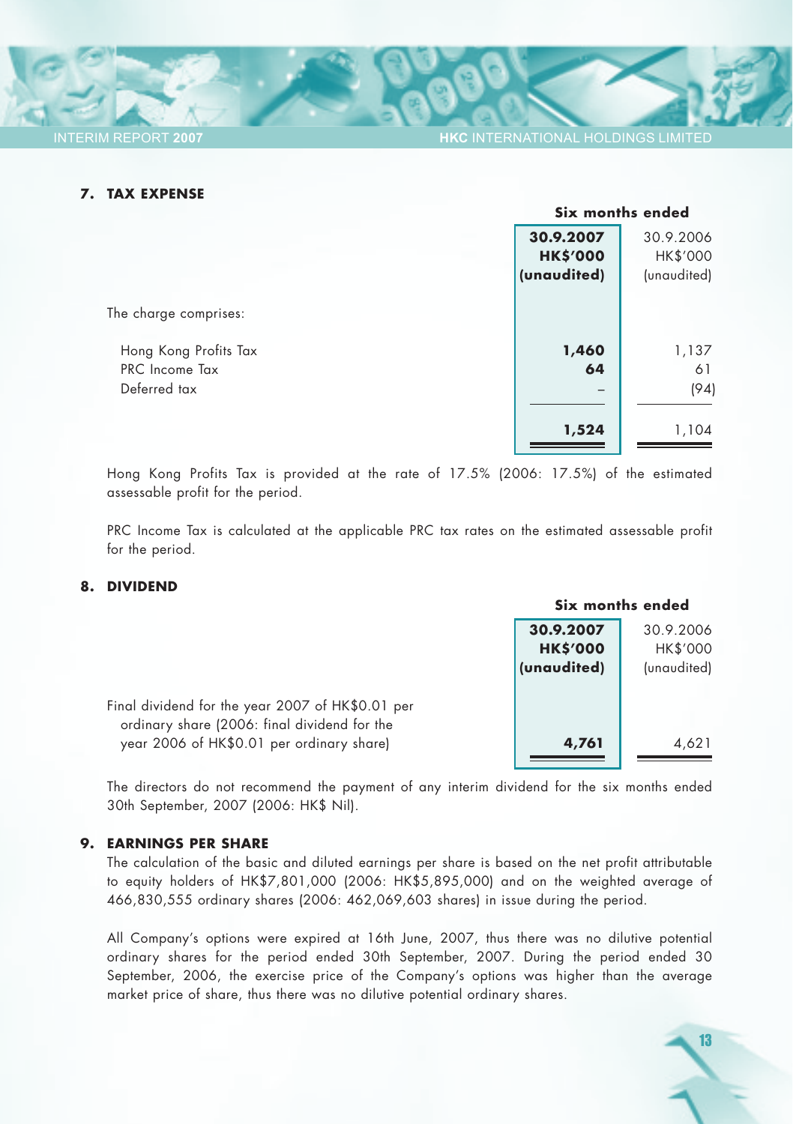#### **7. TAX EXPENSE**

|                       |                 | Six months ended |  |
|-----------------------|-----------------|------------------|--|
|                       | 30.9.2007       | 30.9.2006        |  |
|                       | <b>HK\$'000</b> | HK\$'000         |  |
|                       | (unaudited)     | (unaudited)      |  |
|                       |                 |                  |  |
| The charge comprises: |                 |                  |  |
|                       |                 |                  |  |
| Hong Kong Profits Tax | 1,460           | 1,137            |  |
| PRC Income Tax        | 64              | 61               |  |
| Deferred tax          |                 | (94)             |  |
|                       |                 |                  |  |
|                       | 1,524           | 1,104            |  |
|                       |                 |                  |  |

Hong Kong Profits Tax is provided at the rate of 17.5% (2006: 17.5%) of the estimated assessable profit for the period.

PRC Income Tax is calculated at the applicable PRC tax rates on the estimated assessable profit for the period.

#### **8. DIVIDEND**

|                                                                                                  |                 | Six months ended |  |
|--------------------------------------------------------------------------------------------------|-----------------|------------------|--|
|                                                                                                  | 30.9.2007       | 30.9.2006        |  |
|                                                                                                  | <b>HK\$'000</b> | HK\$'000         |  |
|                                                                                                  | (unaudited)     | (unaudited)      |  |
| Final dividend for the year 2007 of HK\$0.01 per<br>ordinary share (2006: final dividend for the |                 |                  |  |
| year 2006 of HK\$0.01 per ordinary share)                                                        | 4,761           | 4,621            |  |
|                                                                                                  |                 |                  |  |

The directors do not recommend the payment of any interim dividend for the six months ended 30th September, 2007 (2006: HK\$ Nil).

#### **9. EARNINGS PER SHARE**

The calculation of the basic and diluted earnings per share is based on the net profit attributable to equity holders of HK\$7,801,000 (2006: HK\$5,895,000) and on the weighted average of 466,830,555 ordinary shares (2006: 462,069,603 shares) in issue during the period.

All Company's options were expired at 16th June, 2007, thus there was no dilutive potential ordinary shares for the period ended 30th September, 2007. During the period ended 30 September, 2006, the exercise price of the Company's options was higher than the average market price of share, thus there was no dilutive potential ordinary shares.

13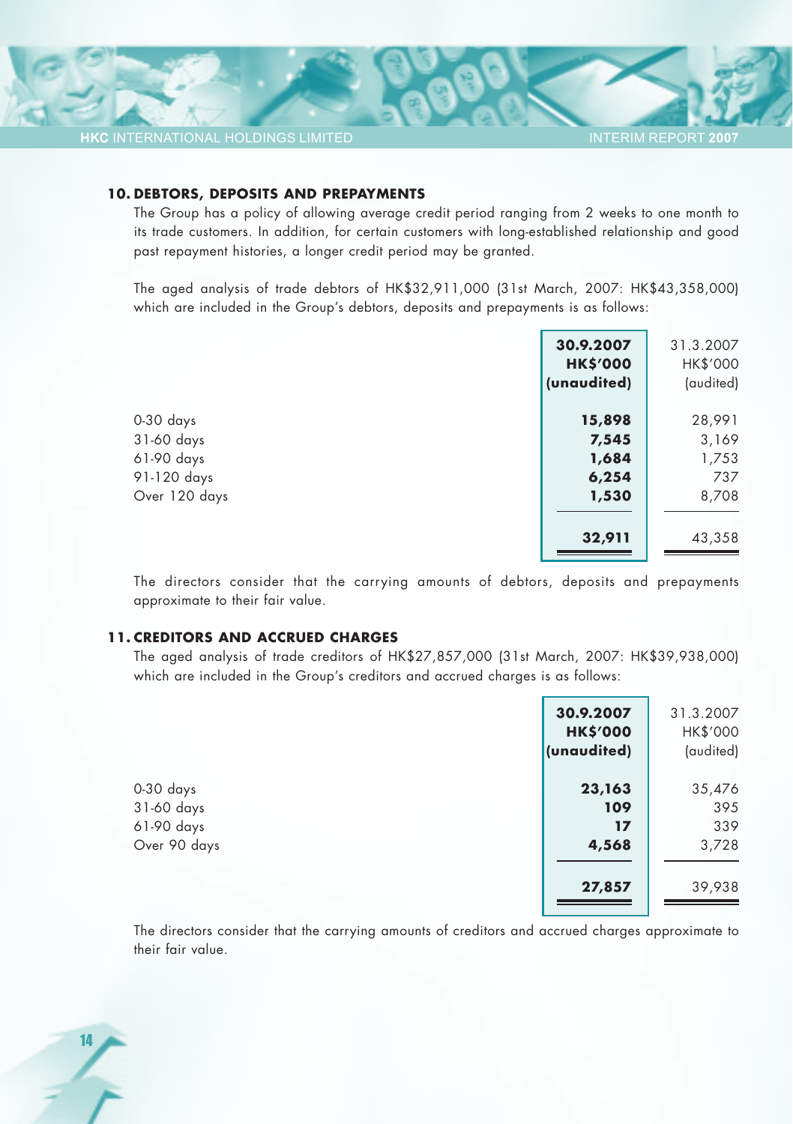#### **10. DEBTORS, DEPOSITS AND PREPAYMENTS**

The Group has a policy of allowing average credit period ranging from 2 weeks to one month to its trade customers. In addition, for certain customers with long-established relationship and good past repayment histories, a longer credit period may be granted.

The aged analysis of trade debtors of HK\$32,911,000 (31st March, 2007: HK\$43,358,000) which are included in the Group's debtors, deposits and prepayments is as follows:

|               | 30.9.2007<br><b>HK\$'000</b><br>(unaudited) | 31.3.2007<br>HK\$'000<br>(audited) |
|---------------|---------------------------------------------|------------------------------------|
| $0-30$ days   | 15,898                                      | 28,991                             |
| 31-60 days    | 7,545                                       | 3,169                              |
| 61-90 days    | 1,684                                       | 1,753                              |
| 91-120 days   | 6,254                                       | 737                                |
| Over 120 days | 1,530                                       | 8,708                              |
|               | 32,911                                      | 43,358                             |

The directors consider that the carrying amounts of debtors, deposits and prepayments approximate to their fair value.

#### **11. CREDITORS AND ACCRUED CHARGES**

14

The aged analysis of trade creditors of HK\$27,857,000 (31st March, 2007: HK\$39,938,000) which are included in the Group's creditors and accrued charges is as follows:

|                                                         | 30.9.2007<br><b>HK\$'000</b><br>(unaudited) | 31.3.2007<br>HK\$'000<br>(audited) |
|---------------------------------------------------------|---------------------------------------------|------------------------------------|
| $0-30$ days<br>31-60 days<br>61-90 days<br>Over 90 days | 23,163<br>109<br>17<br>4,568                | 35,476<br>395<br>339<br>3,728      |
|                                                         | 27,857                                      | 39,938                             |

The directors consider that the carrying amounts of creditors and accrued charges approximate to their fair value.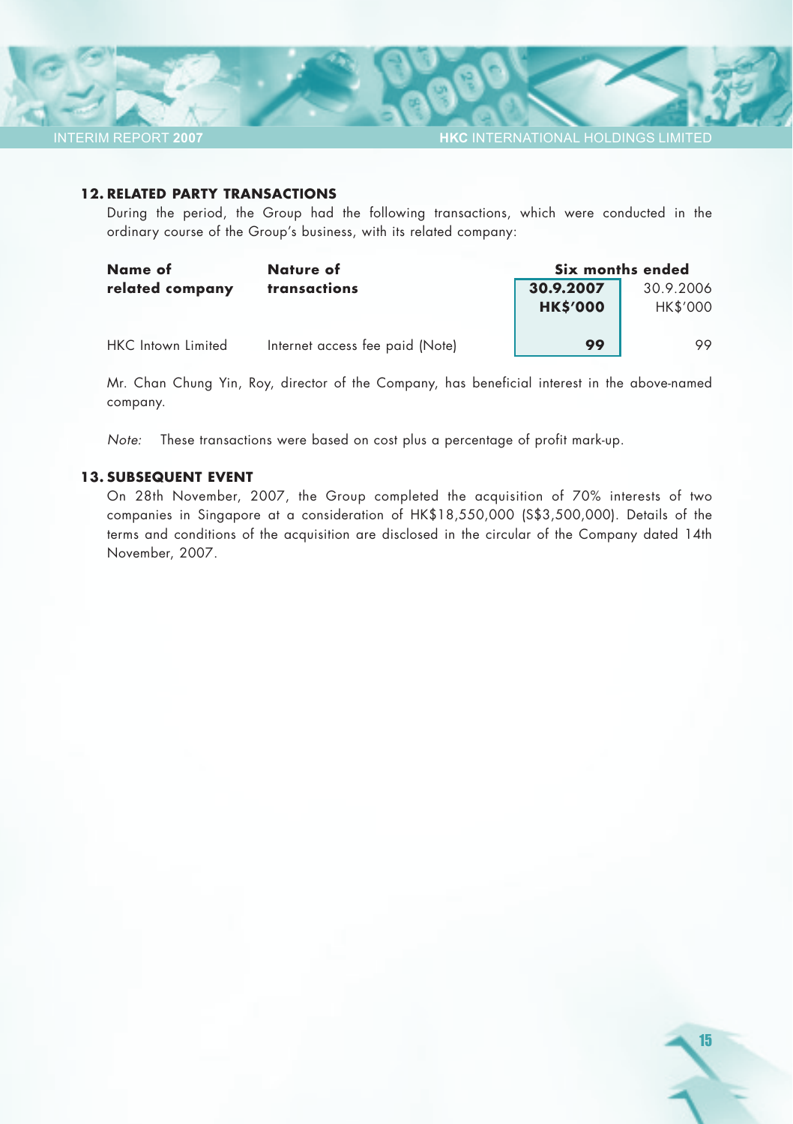**HKC** INTERNATIONAL HOLDINGS LIMITED

#### **12. RELATED PARTY TRANSACTIONS**

During the period, the Group had the following transactions, which were conducted in the ordinary course of the Group's business, with its related company:

| Name of                   | Nature of                       | Six months ended |                 |  |
|---------------------------|---------------------------------|------------------|-----------------|--|
| related company           | transactions                    | 30.9.2007        | 30.9.2006       |  |
|                           |                                 | <b>HK\$'000</b>  | <b>HK\$'000</b> |  |
|                           |                                 |                  |                 |  |
| <b>HKC</b> Intown Limited | Internet access fee paid (Note) | 99               | 99              |  |

Mr. Chan Chung Yin, Roy, director of the Company, has beneficial interest in the above-named company.

*Note:* These transactions were based on cost plus a percentage of profit mark-up.

#### **13. SUBSEQUENT EVENT**

On 28th November, 2007, the Group completed the acquisition of 70% interests of two companies in Singapore at a consideration of HK\$18,550,000 (S\$3,500,000). Details of the terms and conditions of the acquisition are disclosed in the circular of the Company dated 14th November, 2007.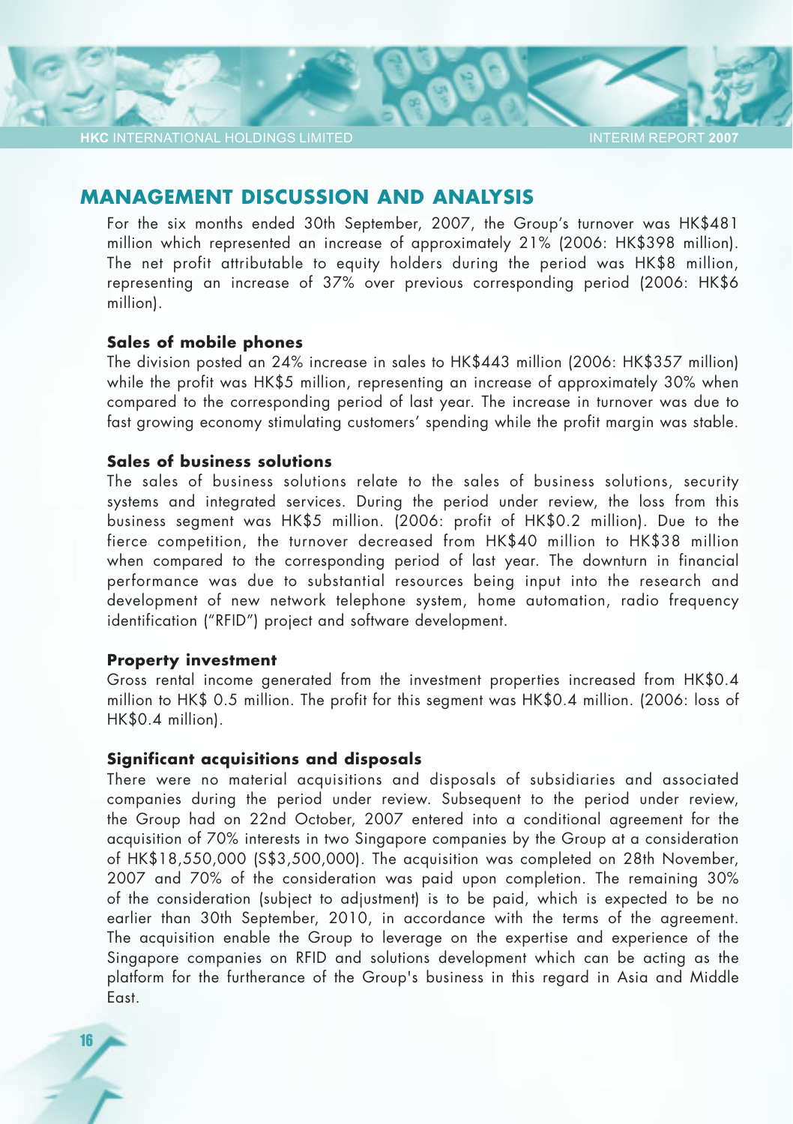### **MANAGEMENT DISCUSSION AND ANALYSIS**

For the six months ended 30th September, 2007, the Group's turnover was HK\$481 million which represented an increase of approximately 21% (2006: HK\$398 million). The net profit attributable to equity holders during the period was HK\$8 million, representing an increase of 37% over previous corresponding period (2006: HK\$6 million).

#### **Sales of mobile phones**

The division posted an 24% increase in sales to HK\$443 million (2006: HK\$357 million) while the profit was HK\$5 million, representing an increase of approximately 30% when compared to the corresponding period of last year. The increase in turnover was due to fast growing economy stimulating customers' spending while the profit margin was stable.

### **Sales of business solutions**

The sales of business solutions relate to the sales of business solutions, security systems and integrated services. During the period under review, the loss from this business segment was HK\$5 million. (2006: profit of HK\$0.2 million). Due to the fierce competition, the turnover decreased from HK\$40 million to HK\$38 million when compared to the corresponding period of last year. The downturn in financial performance was due to substantial resources being input into the research and development of new network telephone system, home automation, radio frequency identification ("RFID") project and software development.

#### **Property investment**

Gross rental income generated from the investment properties increased from HK\$0.4 million to HK\$ 0.5 million. The profit for this segment was HK\$0.4 million. (2006: loss of HK\$0.4 million).

#### **Significant acquisitions and disposals**

There were no material acquisitions and disposals of subsidiaries and associated companies during the period under review. Subsequent to the period under review, the Group had on 22nd October, 2007 entered into a conditional agreement for the acquisition of 70% interests in two Singapore companies by the Group at a consideration of HK\$18,550,000 (S\$3,500,000). The acquisition was completed on 28th November, 2007 and 70% of the consideration was paid upon completion. The remaining 30% of the consideration (subject to adjustment) is to be paid, which is expected to be no earlier than 30th September, 2010, in accordance with the terms of the agreement. The acquisition enable the Group to leverage on the expertise and experience of the Singapore companies on RFID and solutions development which can be acting as the platform for the furtherance of the Group's business in this regard in Asia and Middle East.

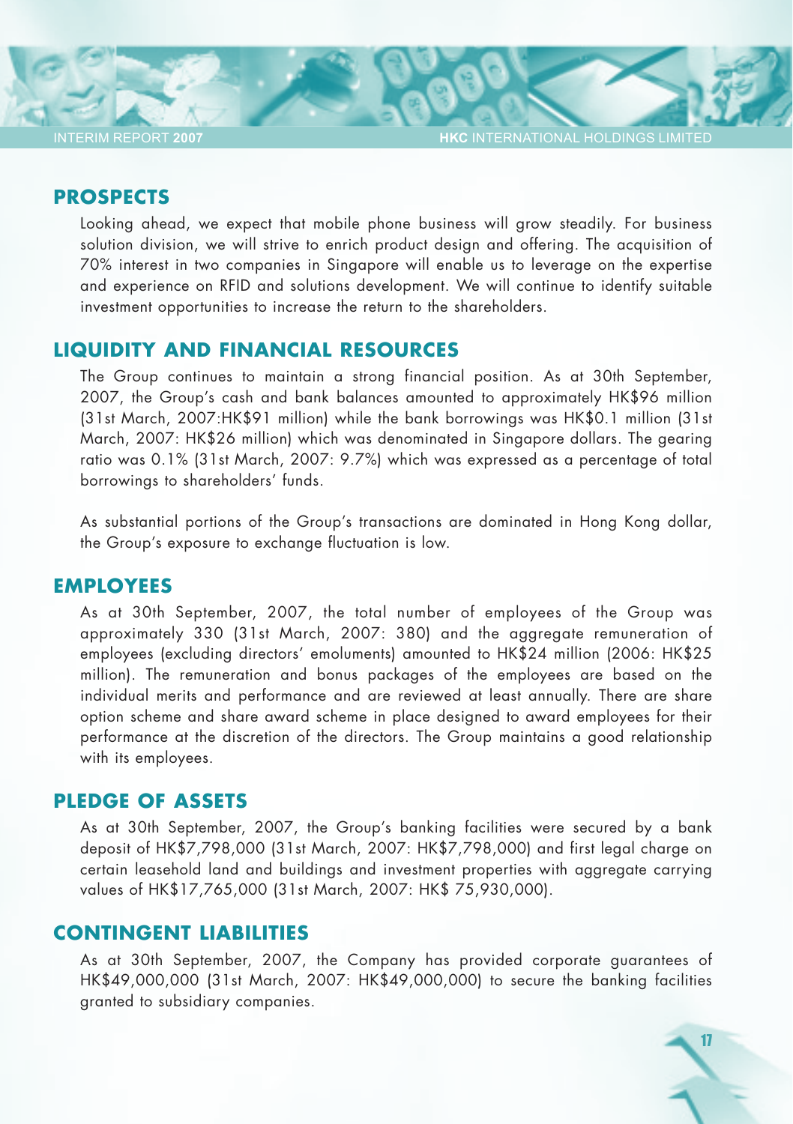**HKC** INTERNATIONAL HOLDINGS LIMITED

17

### **PROSPECTS**

Looking ahead, we expect that mobile phone business will grow steadily. For business solution division, we will strive to enrich product design and offering. The acquisition of 70% interest in two companies in Singapore will enable us to leverage on the expertise and experience on RFID and solutions development. We will continue to identify suitable investment opportunities to increase the return to the shareholders.

### **LIQUIDITY AND FINANCIAL RESOURCES**

The Group continues to maintain a strong financial position. As at 30th September, 2007, the Group's cash and bank balances amounted to approximately HK\$96 million (31st March, 2007:HK\$91 million) while the bank borrowings was HK\$0.1 million (31st March, 2007: HK\$26 million) which was denominated in Singapore dollars. The gearing ratio was 0.1% (31st March, 2007: 9.7%) which was expressed as a percentage of total borrowings to shareholders' funds.

As substantial portions of the Group's transactions are dominated in Hong Kong dollar, the Group's exposure to exchange fluctuation is low.

### **EMPLOYEES**

As at 30th September, 2007, the total number of employees of the Group was approximately 330 (31st March, 2007: 380) and the aggregate remuneration of employees (excluding directors' emoluments) amounted to HK\$24 million (2006: HK\$25 million). The remuneration and bonus packages of the employees are based on the individual merits and performance and are reviewed at least annually. There are share option scheme and share award scheme in place designed to award employees for their performance at the discretion of the directors. The Group maintains a good relationship with its employees.

### **PLEDGE OF ASSETS**

As at 30th September, 2007, the Group's banking facilities were secured by a bank deposit of HK\$7,798,000 (31st March, 2007: HK\$7,798,000) and first legal charge on certain leasehold land and buildings and investment properties with aggregate carrying values of HK\$17,765,000 (31st March, 2007: HK\$ 75,930,000).

### **CONTINGENT LIABILITIES**

As at 30th September, 2007, the Company has provided corporate guarantees of HK\$49,000,000 (31st March, 2007: HK\$49,000,000) to secure the banking facilities granted to subsidiary companies.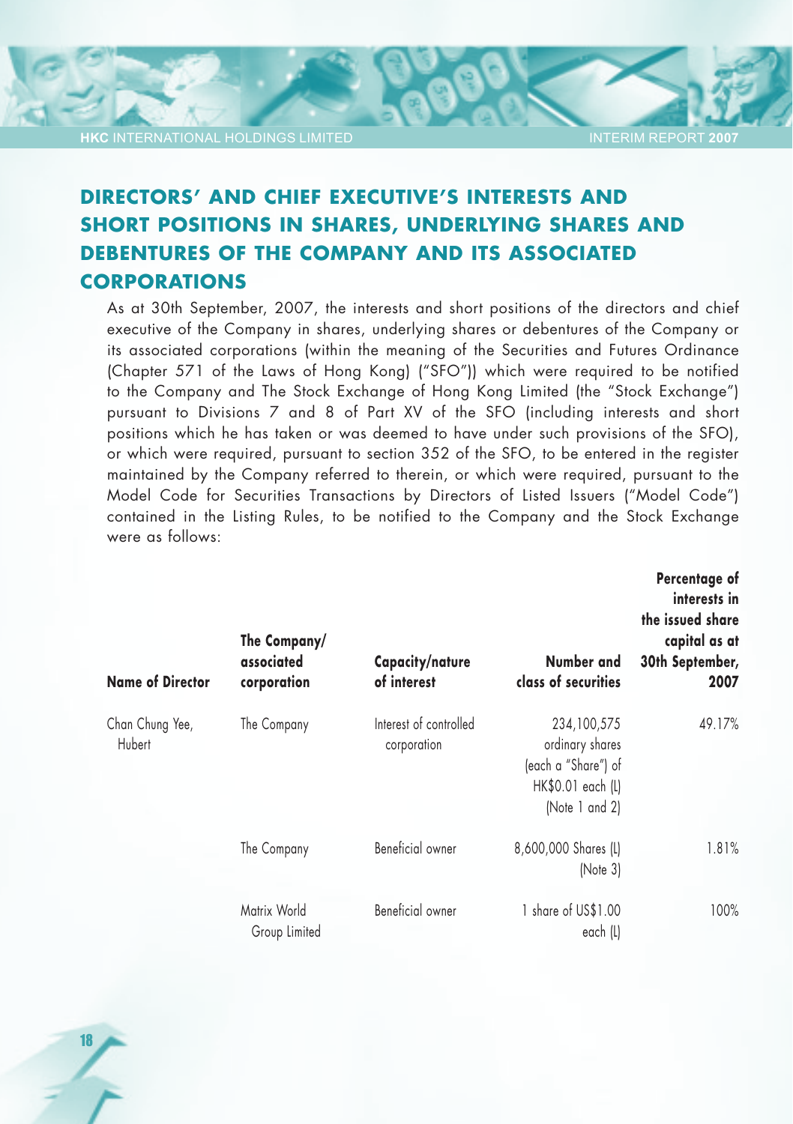18

#### INTERIM REPORT **2007**

# **DIRECTORS' AND CHIEF EXECUTIVE'S INTERESTS AND SHORT POSITIONS IN SHARES, UNDERLYING SHARES AND DEBENTURES OF THE COMPANY AND ITS ASSOCIATED CORPORATIONS**

As at 30th September, 2007, the interests and short positions of the directors and chief executive of the Company in shares, underlying shares or debentures of the Company or its associated corporations (within the meaning of the Securities and Futures Ordinance (Chapter 571 of the Laws of Hong Kong) ("SFO")) which were required to be notified to the Company and The Stock Exchange of Hong Kong Limited (the "Stock Exchange") pursuant to Divisions 7 and 8 of Part XV of the SFO (including interests and short positions which he has taken or was deemed to have under such provisions of the SFO), or which were required, pursuant to section 352 of the SFO, to be entered in the register maintained by the Company referred to therein, or which were required, pursuant to the Model Code for Securities Transactions by Directors of Listed Issuers ("Model Code") contained in the Listing Rules, to be notified to the Company and the Stock Exchange were as follows:

| <b>Name of Director</b>   | The Company/<br>associated<br>corporation | Capacity/nature<br>of interest        | Number and<br>class of securities                                                            | Percentage of<br>interests in<br>the issued share<br>capital as at<br>30th September,<br>2007 |
|---------------------------|-------------------------------------------|---------------------------------------|----------------------------------------------------------------------------------------------|-----------------------------------------------------------------------------------------------|
| Chan Chung Yee,<br>Hubert | The Company                               | Interest of controlled<br>corporation | 234,100,575<br>ordinary shares<br>(each a "Share") of<br>HK\$0.01 each (L)<br>(Note 1 and 2) | 49.17%                                                                                        |
|                           | The Company                               | Beneficial owner                      | 8,600,000 Shares (L)<br>[Note 3]                                                             | 1.81%                                                                                         |
|                           | Matrix World<br>Group Limited             | Beneficial owner                      | 1 share of US\$1.00<br>each (L)                                                              | 100%                                                                                          |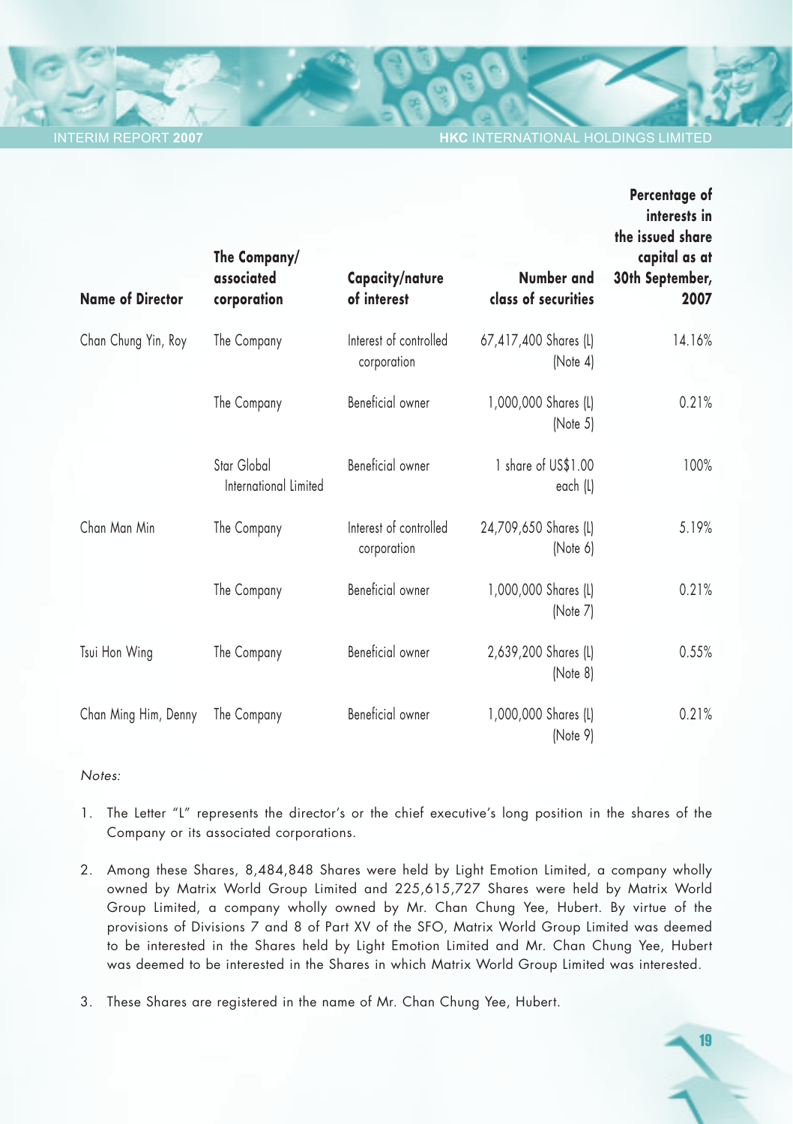**INTERNATIONAL HOLDINGS LIMITED** 

| <b>Name of Director</b> | The Company/<br>associated<br>corporation | Capacity/nature<br>of interest        | Number and<br>class of securities | Percentage of<br>interests in<br>the issued share<br>capital as at<br>30th September,<br>2007 |
|-------------------------|-------------------------------------------|---------------------------------------|-----------------------------------|-----------------------------------------------------------------------------------------------|
| Chan Chung Yin, Roy     | The Company                               | Interest of controlled<br>corporation | 67,417,400 Shares (L)<br>(Note 4) | 14.16%                                                                                        |
|                         | The Company                               | Beneficial owner                      | 1,000,000 Shares (L)<br>[Note 5]  | 0.21%                                                                                         |
|                         | Star Global<br>International Limited      | Beneficial owner                      | 1 share of US\$1.00<br>each (L)   | 100%                                                                                          |
| Chan Man Min            | The Company                               | Interest of controlled<br>corporation | 24,709,650 Shares (L)<br>(Note 6) | 5.19%                                                                                         |
|                         | The Company                               | Beneficial owner                      | 1,000,000 Shares (L)<br>(Note 7)  | 0.21%                                                                                         |
| Tsui Hon Wing           | The Company                               | Beneficial owner                      | 2,639,200 Shares (L)<br>(Note 8)  | 0.55%                                                                                         |
| Chan Ming Him, Denny    | The Company                               | Beneficial owner                      | 1,000,000 Shares (L)<br>(Note 9)  | 0.21%                                                                                         |

#### *Notes:*

- 1. The Letter "L" represents the director's or the chief executive's long position in the shares of the Company or its associated corporations.
- 2. Among these Shares, 8,484,848 Shares were held by Light Emotion Limited, a company wholly owned by Matrix World Group Limited and 225,615,727 Shares were held by Matrix World Group Limited, a company wholly owned by Mr. Chan Chung Yee, Hubert. By virtue of the provisions of Divisions 7 and 8 of Part XV of the SFO, Matrix World Group Limited was deemed to be interested in the Shares held by Light Emotion Limited and Mr. Chan Chung Yee, Hubert was deemed to be interested in the Shares in which Matrix World Group Limited was interested.
- 3. These Shares are registered in the name of Mr. Chan Chung Yee, Hubert.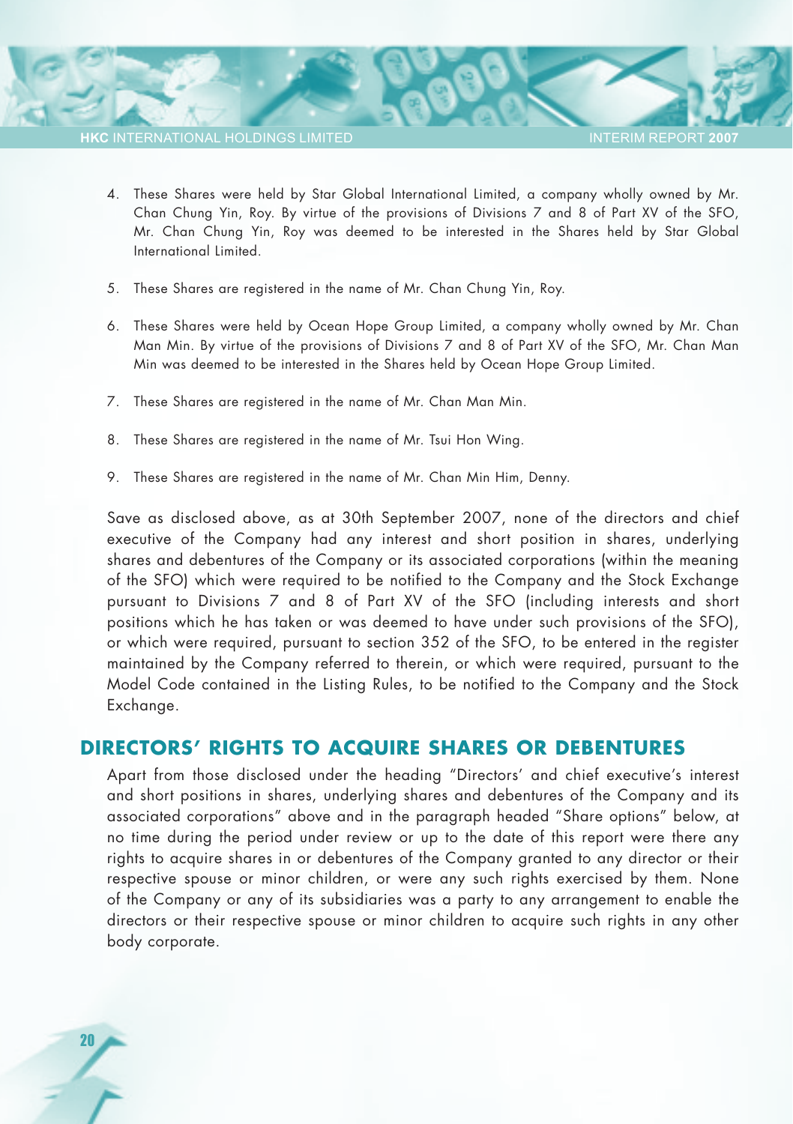20

**INTERIM REPORT 20** 

- 4. These Shares were held by Star Global International Limited, a company wholly owned by Mr. Chan Chung Yin, Roy. By virtue of the provisions of Divisions 7 and 8 of Part XV of the SFO, Mr. Chan Chung Yin, Roy was deemed to be interested in the Shares held by Star Global International Limited.
- 5. These Shares are registered in the name of Mr. Chan Chung Yin, Roy.
- 6. These Shares were held by Ocean Hope Group Limited, a company wholly owned by Mr. Chan Man Min. By virtue of the provisions of Divisions 7 and 8 of Part XV of the SFO, Mr. Chan Man Min was deemed to be interested in the Shares held by Ocean Hope Group Limited.
- 7. These Shares are registered in the name of Mr. Chan Man Min.
- 8. These Shares are registered in the name of Mr. Tsui Hon Wing.
- 9. These Shares are registered in the name of Mr. Chan Min Him, Denny.

Save as disclosed above, as at 30th September 2007, none of the directors and chief executive of the Company had any interest and short position in shares, underlying shares and debentures of the Company or its associated corporations (within the meaning of the SFO) which were required to be notified to the Company and the Stock Exchange pursuant to Divisions 7 and 8 of Part XV of the SFO (including interests and short positions which he has taken or was deemed to have under such provisions of the SFO), or which were required, pursuant to section 352 of the SFO, to be entered in the register maintained by the Company referred to therein, or which were required, pursuant to the Model Code contained in the Listing Rules, to be notified to the Company and the Stock Exchange.

### **DIRECTORS' RIGHTS TO ACQUIRE SHARES OR DEBENTURES**

Apart from those disclosed under the heading "Directors' and chief executive's interest and short positions in shares, underlying shares and debentures of the Company and its associated corporations" above and in the paragraph headed "Share options" below, at no time during the period under review or up to the date of this report were there any rights to acquire shares in or debentures of the Company granted to any director or their respective spouse or minor children, or were any such rights exercised by them. None of the Company or any of its subsidiaries was a party to any arrangement to enable the directors or their respective spouse or minor children to acquire such rights in any other body corporate.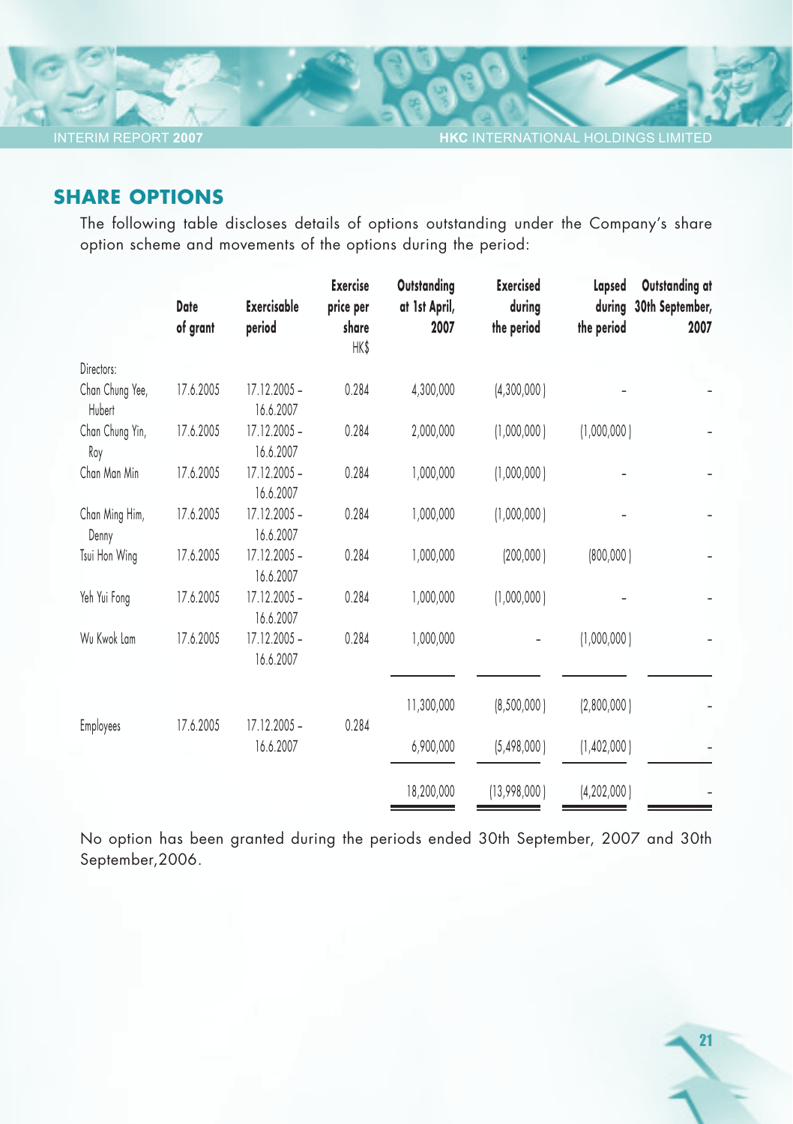## **SHARE OPTIONS**

INTERIM REPORT **2007**

The following table discloses details of options outstanding under the Company's share option scheme and movements of the options during the period:

| Date      | <b>Exercisable</b>          | <b>Exercise</b> | Outstanding<br>at 1st April, | <b>Exercised</b><br>during | Lapsed     | Outstanding at<br>30th September,                                                              |
|-----------|-----------------------------|-----------------|------------------------------|----------------------------|------------|------------------------------------------------------------------------------------------------|
| of grant  | period                      | share           | 2007                         | the period                 | the period | 2007                                                                                           |
|           |                             | HK\$            |                              |                            |            |                                                                                                |
|           |                             |                 |                              |                            |            |                                                                                                |
| 17.6.2005 | $17.12.2005 -$<br>16.6.2007 | 0.284           | 4,300,000                    | (4,300,000)                |            |                                                                                                |
| 17.6.2005 | $17.12.2005 -$<br>16.6.2007 | 0.284           | 2,000,000                    | (1,000,000)                |            |                                                                                                |
| 17.6.2005 | 17.12.2005 -<br>16.6.2007   | 0.284           | 1,000,000                    | (1,000,000)                |            |                                                                                                |
| 17.6.2005 | $17.12.2005 -$<br>16.6.2007 | 0.284           | 1,000,000                    | (1,000,000)                |            |                                                                                                |
| 17.6.2005 | $17.12.2005 -$<br>16.6.2007 | 0.284           | 1,000,000                    | (200,000)                  |            |                                                                                                |
| 17.6.2005 | 17.12.2005 -<br>16.6.2007   | 0.284           | 1,000,000                    | (1,000,000)                |            |                                                                                                |
| 17.6.2005 | 17.12.2005 -<br>16.6.2007   | 0.284           | 1,000,000                    |                            |            |                                                                                                |
|           |                             |                 | 11,300,000                   | [8,500,000]                |            |                                                                                                |
|           | 16.6.2007                   |                 | 6,900,000                    | (5,498,000)                |            |                                                                                                |
|           |                             |                 | 18,200,000                   | (13,998,000)               |            |                                                                                                |
|           | 17.6.2005                   | $17.12.2005 -$  | price per<br>0.284           |                            |            | during<br>(1,000,000)<br>(800,000)<br>(1,000,000)<br>(2,800,000)<br>(1,402,000)<br>(4,202,000) |

No option has been granted during the periods ended 30th September, 2007 and 30th September,2006.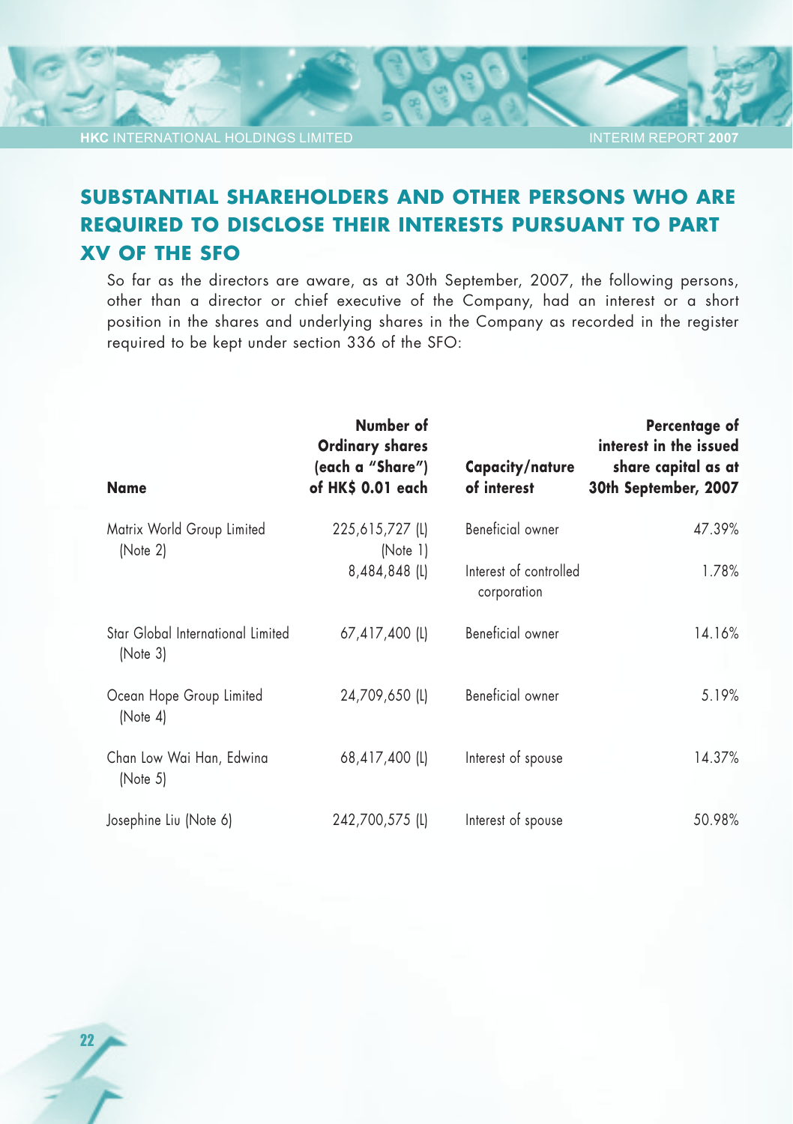22

#### INTERIM REPORT **2007**

# **SUBSTANTIAL SHAREHOLDERS AND OTHER PERSONS WHO ARE REQUIRED TO DISCLOSE THEIR INTERESTS PURSUANT TO PART XV OF THE SFO**

So far as the directors are aware, as at 30th September, 2007, the following persons, other than a director or chief executive of the Company, had an interest or a short position in the shares and underlying shares in the Company as recorded in the register required to be kept under section 336 of the SFO:

| <b>Name</b>                                   | Number of<br><b>Ordinary shares</b><br>(each a "Share")<br>of HK\$ 0.01 each | Capacity/nature<br>of interest        | Percentage of<br>interest in the issued<br>share capital as at<br>30th September, 2007 |
|-----------------------------------------------|------------------------------------------------------------------------------|---------------------------------------|----------------------------------------------------------------------------------------|
| Matrix World Group Limited<br>[Note 2]        | 225,615,727 (L)<br>[Note 1]                                                  | Beneficial owner                      | 47.39%                                                                                 |
|                                               | 8,484,848 (L)                                                                | Interest of controlled<br>corporation | 1.78%                                                                                  |
| Star Global International Limited<br>[Note 3] | 67,417,400 (L)                                                               | Beneficial owner                      | 14.16%                                                                                 |
| Ocean Hope Group Limited<br>[Note 4]          | 24,709,650 (L)                                                               | Beneficial owner                      | 5.19%                                                                                  |
| Chan Low Wai Han, Edwina<br>[Note 5]          | 68,417,400 (L)                                                               | Interest of spouse                    | 14.37%                                                                                 |
| Josephine Liu (Note 6)                        | 242,700,575 (L)                                                              | Interest of spouse                    | 50.98%                                                                                 |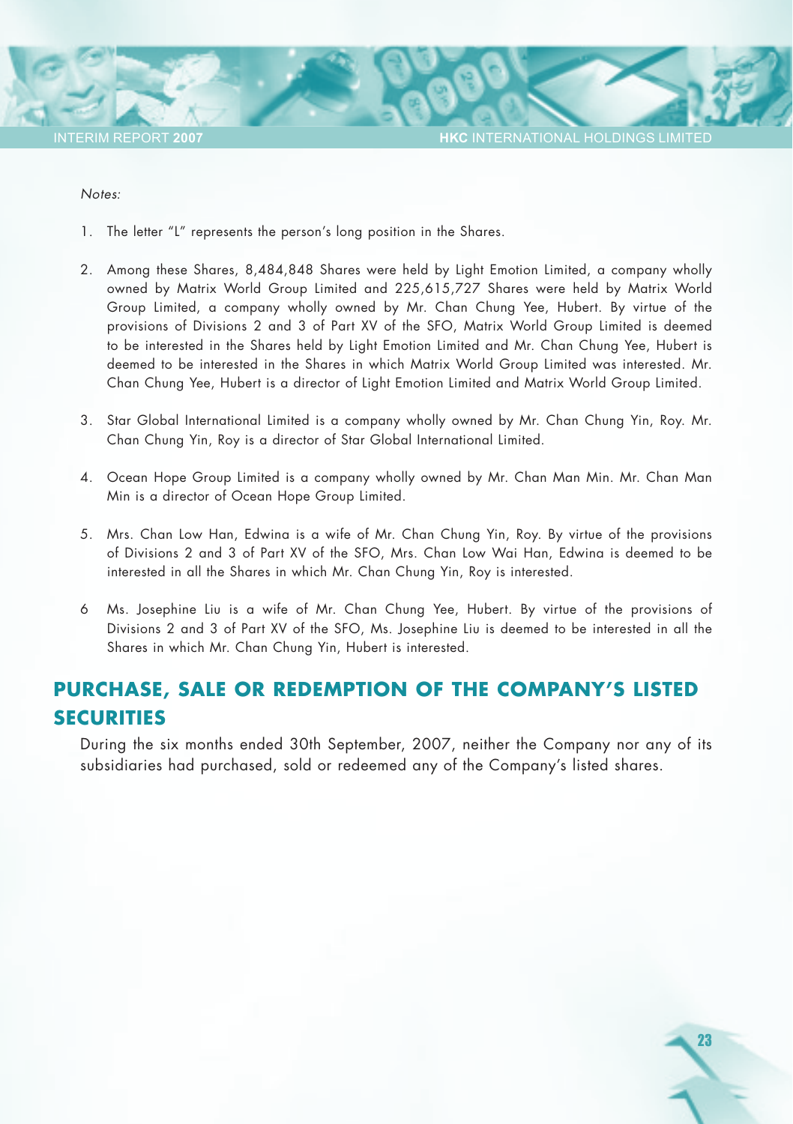#### *Notes:*

- 1. The letter "L" represents the person's long position in the Shares.
- 2. Among these Shares, 8,484,848 Shares were held by Light Emotion Limited, a company wholly owned by Matrix World Group Limited and 225,615,727 Shares were held by Matrix World Group Limited, a company wholly owned by Mr. Chan Chung Yee, Hubert. By virtue of the provisions of Divisions 2 and 3 of Part XV of the SFO, Matrix World Group Limited is deemed to be interested in the Shares held by Light Emotion Limited and Mr. Chan Chung Yee, Hubert is deemed to be interested in the Shares in which Matrix World Group Limited was interested. Mr. Chan Chung Yee, Hubert is a director of Light Emotion Limited and Matrix World Group Limited.
- 3. Star Global International Limited is a company wholly owned by Mr. Chan Chung Yin, Roy. Mr. Chan Chung Yin, Roy is a director of Star Global International Limited.
- 4. Ocean Hope Group Limited is a company wholly owned by Mr. Chan Man Min. Mr. Chan Man Min is a director of Ocean Hope Group Limited.
- 5. Mrs. Chan Low Han, Edwina is a wife of Mr. Chan Chung Yin, Roy. By virtue of the provisions of Divisions 2 and 3 of Part XV of the SFO, Mrs. Chan Low Wai Han, Edwina is deemed to be interested in all the Shares in which Mr. Chan Chung Yin, Roy is interested.
- 6 Ms. Josephine Liu is a wife of Mr. Chan Chung Yee, Hubert. By virtue of the provisions of Divisions 2 and 3 of Part XV of the SFO, Ms. Josephine Liu is deemed to be interested in all the Shares in which Mr. Chan Chung Yin, Hubert is interested.

# **PURCHASE, SALE OR REDEMPTION OF THE COMPANY'S LISTED SECURITIES**

During the six months ended 30th September, 2007, neither the Company nor any of its subsidiaries had purchased, sold or redeemed any of the Company's listed shares.